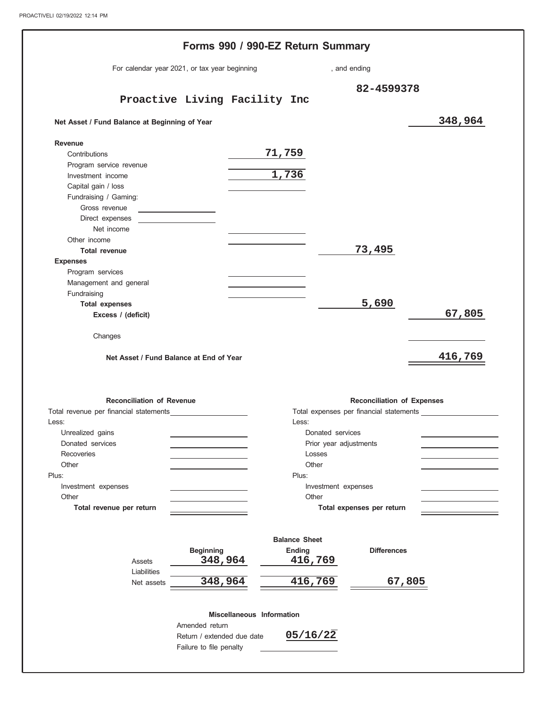| For calendar year 2021, or tax year beginning                            |                               |                           |                          | , and ending                            |                   |
|--------------------------------------------------------------------------|-------------------------------|---------------------------|--------------------------|-----------------------------------------|-------------------|
|                                                                          |                               |                           |                          | 82-4599378                              |                   |
|                                                                          | Proactive Living Facility Inc |                           |                          |                                         |                   |
| Net Asset / Fund Balance at Beginning of Year                            |                               |                           |                          |                                         | 348,964           |
| <b>Revenue</b>                                                           |                               |                           |                          |                                         |                   |
| Contributions                                                            |                               |                           | 71,759                   |                                         |                   |
| Program service revenue                                                  |                               |                           |                          |                                         |                   |
| Investment income                                                        |                               |                           | 1,736                    |                                         |                   |
| Capital gain / loss                                                      |                               |                           |                          |                                         |                   |
| Fundraising / Gaming:                                                    |                               |                           |                          |                                         |                   |
| Gross revenue<br>Direct expenses                                         |                               |                           |                          |                                         |                   |
| Net income                                                               |                               |                           |                          |                                         |                   |
| Other income                                                             |                               |                           |                          |                                         |                   |
| <b>Total revenue</b>                                                     |                               |                           |                          | 73,495                                  |                   |
| <b>Expenses</b>                                                          |                               |                           |                          |                                         |                   |
| Program services                                                         |                               |                           |                          |                                         |                   |
| Management and general                                                   |                               |                           |                          |                                         |                   |
| Fundraising                                                              |                               |                           |                          |                                         |                   |
| <b>Total expenses</b>                                                    |                               |                           |                          | 5,690                                   |                   |
|                                                                          |                               |                           |                          |                                         |                   |
| Excess / (deficit)<br>Changes<br>Net Asset / Fund Balance at End of Year |                               |                           |                          |                                         | 67,805<br>416,769 |
| <b>Reconciliation of Revenue</b>                                         |                               |                           |                          | <b>Reconciliation of Expenses</b>       |                   |
|                                                                          |                               |                           |                          | Total expenses per financial statements |                   |
|                                                                          |                               |                           | Less:                    |                                         |                   |
| Unrealized gains                                                         |                               |                           | Donated services         |                                         |                   |
| Donated services                                                         |                               |                           |                          | Prior year adjustments                  |                   |
| Recoveries                                                               |                               |                           | Losses                   |                                         |                   |
| Other                                                                    |                               |                           | Other                    |                                         |                   |
|                                                                          |                               |                           | Plus:                    |                                         |                   |
| Investment expenses                                                      |                               |                           | Investment expenses      |                                         |                   |
| Other<br>Total revenue per return                                        |                               |                           | Other                    | Total expenses per return               |                   |
|                                                                          |                               |                           |                          |                                         |                   |
| Total revenue per financial statements<br>Less:<br>Plus:                 |                               |                           | <b>Balance Sheet</b>     |                                         |                   |
| Assets                                                                   | <b>Beginning</b><br>348,964   |                           | <b>Ending</b><br>416,769 | <b>Differences</b>                      |                   |
| Liabilities<br>Net assets                                                | 348,964                       |                           | 416,769                  | <u>67,805</u>                           |                   |
|                                                                          |                               |                           |                          |                                         |                   |
|                                                                          | Amended return                | Miscellaneous Information |                          |                                         |                   |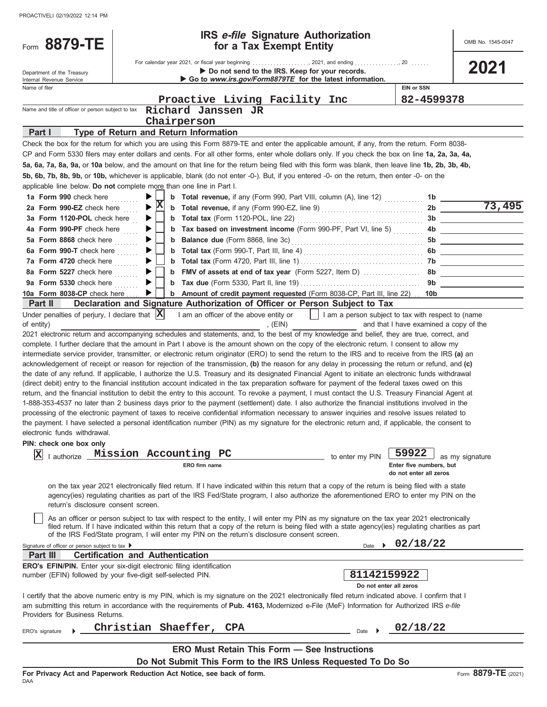| Form 8879-TE                                                                                                                                                                                                                                       |                                                                                                                                                                                                                                                                                                                                                                                                                                                                                                                                                                                                                                                                                                                                                                                                                                                                                                                                                                                                                                                                                                                                                                                                                                                                                                                                                                                                                                                                                                                                                                                                                                                                                                                                                                                                                                                                                                                                                                                                                                                                                                                                                                                                                                                                      | <b>IRS e-file Signature Authorization</b><br>for a Tax Exempt Entity |                                                                                                                                   |                                                                                                                  | OMB No. 1545-0047             |
|----------------------------------------------------------------------------------------------------------------------------------------------------------------------------------------------------------------------------------------------------|----------------------------------------------------------------------------------------------------------------------------------------------------------------------------------------------------------------------------------------------------------------------------------------------------------------------------------------------------------------------------------------------------------------------------------------------------------------------------------------------------------------------------------------------------------------------------------------------------------------------------------------------------------------------------------------------------------------------------------------------------------------------------------------------------------------------------------------------------------------------------------------------------------------------------------------------------------------------------------------------------------------------------------------------------------------------------------------------------------------------------------------------------------------------------------------------------------------------------------------------------------------------------------------------------------------------------------------------------------------------------------------------------------------------------------------------------------------------------------------------------------------------------------------------------------------------------------------------------------------------------------------------------------------------------------------------------------------------------------------------------------------------------------------------------------------------------------------------------------------------------------------------------------------------------------------------------------------------------------------------------------------------------------------------------------------------------------------------------------------------------------------------------------------------------------------------------------------------------------------------------------------------|----------------------------------------------------------------------|-----------------------------------------------------------------------------------------------------------------------------------|------------------------------------------------------------------------------------------------------------------|-------------------------------|
| Department of the Treasury<br>Internal Revenue Service                                                                                                                                                                                             |                                                                                                                                                                                                                                                                                                                                                                                                                                                                                                                                                                                                                                                                                                                                                                                                                                                                                                                                                                                                                                                                                                                                                                                                                                                                                                                                                                                                                                                                                                                                                                                                                                                                                                                                                                                                                                                                                                                                                                                                                                                                                                                                                                                                                                                                      | Do not send to the IRS. Keep for your records.                       | For calendar year 2021, or fiscal year beginning  2021, and ending 20<br>Go to www.irs.gov/Form8879TE for the latest information. |                                                                                                                  | 2021                          |
| Name of filer                                                                                                                                                                                                                                      |                                                                                                                                                                                                                                                                                                                                                                                                                                                                                                                                                                                                                                                                                                                                                                                                                                                                                                                                                                                                                                                                                                                                                                                                                                                                                                                                                                                                                                                                                                                                                                                                                                                                                                                                                                                                                                                                                                                                                                                                                                                                                                                                                                                                                                                                      |                                                                      |                                                                                                                                   | <b>EIN or SSN</b>                                                                                                |                               |
|                                                                                                                                                                                                                                                    |                                                                                                                                                                                                                                                                                                                                                                                                                                                                                                                                                                                                                                                                                                                                                                                                                                                                                                                                                                                                                                                                                                                                                                                                                                                                                                                                                                                                                                                                                                                                                                                                                                                                                                                                                                                                                                                                                                                                                                                                                                                                                                                                                                                                                                                                      | Proactive Living Facility Inc                                        |                                                                                                                                   | 82-4599378                                                                                                       |                               |
| Name and title of officer or person subject to tax                                                                                                                                                                                                 | Richard Janssen JR                                                                                                                                                                                                                                                                                                                                                                                                                                                                                                                                                                                                                                                                                                                                                                                                                                                                                                                                                                                                                                                                                                                                                                                                                                                                                                                                                                                                                                                                                                                                                                                                                                                                                                                                                                                                                                                                                                                                                                                                                                                                                                                                                                                                                                                   |                                                                      |                                                                                                                                   |                                                                                                                  |                               |
|                                                                                                                                                                                                                                                    | Chairperson                                                                                                                                                                                                                                                                                                                                                                                                                                                                                                                                                                                                                                                                                                                                                                                                                                                                                                                                                                                                                                                                                                                                                                                                                                                                                                                                                                                                                                                                                                                                                                                                                                                                                                                                                                                                                                                                                                                                                                                                                                                                                                                                                                                                                                                          |                                                                      |                                                                                                                                   |                                                                                                                  |                               |
| Part I                                                                                                                                                                                                                                             | Type of Return and Return Information                                                                                                                                                                                                                                                                                                                                                                                                                                                                                                                                                                                                                                                                                                                                                                                                                                                                                                                                                                                                                                                                                                                                                                                                                                                                                                                                                                                                                                                                                                                                                                                                                                                                                                                                                                                                                                                                                                                                                                                                                                                                                                                                                                                                                                |                                                                      |                                                                                                                                   |                                                                                                                  |                               |
|                                                                                                                                                                                                                                                    | Check the box for the return for which you are using this Form 8879-TE and enter the applicable amount, if any, from the return. Form 8038-                                                                                                                                                                                                                                                                                                                                                                                                                                                                                                                                                                                                                                                                                                                                                                                                                                                                                                                                                                                                                                                                                                                                                                                                                                                                                                                                                                                                                                                                                                                                                                                                                                                                                                                                                                                                                                                                                                                                                                                                                                                                                                                          |                                                                      |                                                                                                                                   |                                                                                                                  |                               |
|                                                                                                                                                                                                                                                    | CP and Form 5330 filers may enter dollars and cents. For all other forms, enter whole dollars only. If you check the box on line 1a, 2a, 3a, 4a,                                                                                                                                                                                                                                                                                                                                                                                                                                                                                                                                                                                                                                                                                                                                                                                                                                                                                                                                                                                                                                                                                                                                                                                                                                                                                                                                                                                                                                                                                                                                                                                                                                                                                                                                                                                                                                                                                                                                                                                                                                                                                                                     |                                                                      |                                                                                                                                   |                                                                                                                  |                               |
|                                                                                                                                                                                                                                                    | 5a, 6a, 7a, 8a, 9a, or 10a below, and the amount on that line for the return being filed with this form was blank, then leave line 1b, 2b, 3b, 4b,                                                                                                                                                                                                                                                                                                                                                                                                                                                                                                                                                                                                                                                                                                                                                                                                                                                                                                                                                                                                                                                                                                                                                                                                                                                                                                                                                                                                                                                                                                                                                                                                                                                                                                                                                                                                                                                                                                                                                                                                                                                                                                                   |                                                                      |                                                                                                                                   |                                                                                                                  |                               |
|                                                                                                                                                                                                                                                    | 5b, 6b, 7b, 8b, 9b, or 10b, whichever is applicable, blank (do not enter -0-). But, if you entered -0- on the return, then enter -0- on the                                                                                                                                                                                                                                                                                                                                                                                                                                                                                                                                                                                                                                                                                                                                                                                                                                                                                                                                                                                                                                                                                                                                                                                                                                                                                                                                                                                                                                                                                                                                                                                                                                                                                                                                                                                                                                                                                                                                                                                                                                                                                                                          |                                                                      |                                                                                                                                   |                                                                                                                  |                               |
|                                                                                                                                                                                                                                                    | applicable line below. Do not complete more than one line in Part I.<br>▶                                                                                                                                                                                                                                                                                                                                                                                                                                                                                                                                                                                                                                                                                                                                                                                                                                                                                                                                                                                                                                                                                                                                                                                                                                                                                                                                                                                                                                                                                                                                                                                                                                                                                                                                                                                                                                                                                                                                                                                                                                                                                                                                                                                            |                                                                      |                                                                                                                                   |                                                                                                                  |                               |
| 1a Form 990 check here<br>2a Form 990-EZ check here                                                                                                                                                                                                | $\overline{\textbf{x}}$<br>▶                                                                                                                                                                                                                                                                                                                                                                                                                                                                                                                                                                                                                                                                                                                                                                                                                                                                                                                                                                                                                                                                                                                                                                                                                                                                                                                                                                                                                                                                                                                                                                                                                                                                                                                                                                                                                                                                                                                                                                                                                                                                                                                                                                                                                                         |                                                                      | <b>b</b> Total revenue, if any (Form 990, Part VIII, column (A), line 12)                                                         | 1b                                                                                                               | 73,495<br>2b                  |
| 3a Form 1120-POL check here                                                                                                                                                                                                                        |                                                                                                                                                                                                                                                                                                                                                                                                                                                                                                                                                                                                                                                                                                                                                                                                                                                                                                                                                                                                                                                                                                                                                                                                                                                                                                                                                                                                                                                                                                                                                                                                                                                                                                                                                                                                                                                                                                                                                                                                                                                                                                                                                                                                                                                                      |                                                                      |                                                                                                                                   |                                                                                                                  | 3b                            |
| 4a Form 990-PF check here                                                                                                                                                                                                                          |                                                                                                                                                                                                                                                                                                                                                                                                                                                                                                                                                                                                                                                                                                                                                                                                                                                                                                                                                                                                                                                                                                                                                                                                                                                                                                                                                                                                                                                                                                                                                                                                                                                                                                                                                                                                                                                                                                                                                                                                                                                                                                                                                                                                                                                                      |                                                                      | <b>b</b> Tax based on investment income (Form 990-PF, Part VI, line 5)                                                            |                                                                                                                  |                               |
| 5a Form 8868 check here                                                                                                                                                                                                                            |                                                                                                                                                                                                                                                                                                                                                                                                                                                                                                                                                                                                                                                                                                                                                                                                                                                                                                                                                                                                                                                                                                                                                                                                                                                                                                                                                                                                                                                                                                                                                                                                                                                                                                                                                                                                                                                                                                                                                                                                                                                                                                                                                                                                                                                                      |                                                                      |                                                                                                                                   |                                                                                                                  |                               |
| 6a Form 990-T check here                                                                                                                                                                                                                           |                                                                                                                                                                                                                                                                                                                                                                                                                                                                                                                                                                                                                                                                                                                                                                                                                                                                                                                                                                                                                                                                                                                                                                                                                                                                                                                                                                                                                                                                                                                                                                                                                                                                                                                                                                                                                                                                                                                                                                                                                                                                                                                                                                                                                                                                      |                                                                      |                                                                                                                                   |                                                                                                                  | 5b<br>6b                      |
| 7a Form 4720 check here                                                                                                                                                                                                                            |                                                                                                                                                                                                                                                                                                                                                                                                                                                                                                                                                                                                                                                                                                                                                                                                                                                                                                                                                                                                                                                                                                                                                                                                                                                                                                                                                                                                                                                                                                                                                                                                                                                                                                                                                                                                                                                                                                                                                                                                                                                                                                                                                                                                                                                                      |                                                                      |                                                                                                                                   |                                                                                                                  |                               |
| 8a Form 5227 check here                                                                                                                                                                                                                            |                                                                                                                                                                                                                                                                                                                                                                                                                                                                                                                                                                                                                                                                                                                                                                                                                                                                                                                                                                                                                                                                                                                                                                                                                                                                                                                                                                                                                                                                                                                                                                                                                                                                                                                                                                                                                                                                                                                                                                                                                                                                                                                                                                                                                                                                      |                                                                      |                                                                                                                                   |                                                                                                                  |                               |
| 9a Form 5330 check here                                                                                                                                                                                                                            |                                                                                                                                                                                                                                                                                                                                                                                                                                                                                                                                                                                                                                                                                                                                                                                                                                                                                                                                                                                                                                                                                                                                                                                                                                                                                                                                                                                                                                                                                                                                                                                                                                                                                                                                                                                                                                                                                                                                                                                                                                                                                                                                                                                                                                                                      |                                                                      |                                                                                                                                   |                                                                                                                  | 9b                            |
| 10a Form 8038-CP check here                                                                                                                                                                                                                        | ▶                                                                                                                                                                                                                                                                                                                                                                                                                                                                                                                                                                                                                                                                                                                                                                                                                                                                                                                                                                                                                                                                                                                                                                                                                                                                                                                                                                                                                                                                                                                                                                                                                                                                                                                                                                                                                                                                                                                                                                                                                                                                                                                                                                                                                                                                    |                                                                      | b Amount of credit payment requested (Form 8038-CP, Part III, line 22)                                                            | 10b                                                                                                              |                               |
| Part II                                                                                                                                                                                                                                            | Declaration and Signature Authorization of Officer or Person Subject to Tax                                                                                                                                                                                                                                                                                                                                                                                                                                                                                                                                                                                                                                                                                                                                                                                                                                                                                                                                                                                                                                                                                                                                                                                                                                                                                                                                                                                                                                                                                                                                                                                                                                                                                                                                                                                                                                                                                                                                                                                                                                                                                                                                                                                          |                                                                      |                                                                                                                                   |                                                                                                                  |                               |
| Under penalties of perjury, I declare that $ \mathbf{X} $<br>of entity)<br>electronic funds withdrawal.<br>PIN: check one box only<br>X<br>I authorize _<br>return's disclosure consent screen.<br>Signature of officer or person subject to tax ▶ | 2021 electronic return and accompanying schedules and statements, and, to the best of my knowledge and belief, they are true, correct, and<br>complete. I further declare that the amount in Part I above is the amount shown on the copy of the electronic return. I consent to allow my<br>intermediate service provider, transmitter, or electronic return originator (ERO) to send the return to the IRS and to receive from the IRS (a) an<br>acknowledgement of receipt or reason for rejection of the transmission, (b) the reason for any delay in processing the return or refund, and (c)<br>the date of any refund. If applicable, I authorize the U.S. Treasury and its designated Financial Agent to initiate an electronic funds withdrawal<br>(direct debit) entry to the financial institution account indicated in the tax preparation software for payment of the federal taxes owed on this<br>return, and the financial institution to debit the entry to this account. To revoke a payment, I must contact the U.S. Treasury Financial Agent at<br>1-888-353-4537 no later than 2 business days prior to the payment (settlement) date. I also authorize the financial institutions involved in the<br>processing of the electronic payment of taxes to receive confidential information necessary to answer inquiries and resolve issues related to<br>the payment. I have selected a personal identification number (PIN) as my signature for the electronic return and, if applicable, the consent to<br>Mission Accounting<br>ERO firm name<br>on the tax year 2021 electronically filed return. If I have indicated within this return that a copy of the return is being filed with a state<br>agency(ies) regulating charities as part of the IRS Fed/State program, I also authorize the aforementioned ERO to enter my PIN on the<br>As an officer or person subject to tax with respect to the entity, I will enter my PIN as my signature on the tax year 2021 electronically<br>filed return. If I have indicated within this return that a copy of the return is being filed with a state agency(ies) regulating charities as part<br>of the IRS Fed/State program, I will enter my PIN on the return's disclosure consent screen. | , $(EIN)$<br>PC                                                      | I am an officer of the above entity or     I am a person subject to tax with respect to (name<br>to enter my PIN<br>Date          | and that I have examined a copy of the<br>59922<br>Enter five numbers, but<br>do not enter all zeros<br>02/18/22 | as my signature               |
| Part III                                                                                                                                                                                                                                           | <b>Certification and Authentication</b>                                                                                                                                                                                                                                                                                                                                                                                                                                                                                                                                                                                                                                                                                                                                                                                                                                                                                                                                                                                                                                                                                                                                                                                                                                                                                                                                                                                                                                                                                                                                                                                                                                                                                                                                                                                                                                                                                                                                                                                                                                                                                                                                                                                                                              |                                                                      |                                                                                                                                   |                                                                                                                  |                               |
|                                                                                                                                                                                                                                                    | ERO's EFIN/PIN. Enter your six-digit electronic filing identification<br>number (EFIN) followed by your five-digit self-selected PIN.                                                                                                                                                                                                                                                                                                                                                                                                                                                                                                                                                                                                                                                                                                                                                                                                                                                                                                                                                                                                                                                                                                                                                                                                                                                                                                                                                                                                                                                                                                                                                                                                                                                                                                                                                                                                                                                                                                                                                                                                                                                                                                                                |                                                                      | 81142159922<br>Do not enter all zeros                                                                                             |                                                                                                                  |                               |
| Providers for Business Returns.                                                                                                                                                                                                                    | I certify that the above numeric entry is my PIN, which is my signature on the 2021 electronically filed return indicated above. I confirm that I<br>am submitting this return in accordance with the requirements of Pub. 4163, Modernized e-File (MeF) Information for Authorized IRS e-file                                                                                                                                                                                                                                                                                                                                                                                                                                                                                                                                                                                                                                                                                                                                                                                                                                                                                                                                                                                                                                                                                                                                                                                                                                                                                                                                                                                                                                                                                                                                                                                                                                                                                                                                                                                                                                                                                                                                                                       |                                                                      |                                                                                                                                   |                                                                                                                  |                               |
| ERO's signature                                                                                                                                                                                                                                    | Christian Shaeffer, CPA                                                                                                                                                                                                                                                                                                                                                                                                                                                                                                                                                                                                                                                                                                                                                                                                                                                                                                                                                                                                                                                                                                                                                                                                                                                                                                                                                                                                                                                                                                                                                                                                                                                                                                                                                                                                                                                                                                                                                                                                                                                                                                                                                                                                                                              |                                                                      | Date                                                                                                                              | 02/18/22                                                                                                         |                               |
|                                                                                                                                                                                                                                                    |                                                                                                                                                                                                                                                                                                                                                                                                                                                                                                                                                                                                                                                                                                                                                                                                                                                                                                                                                                                                                                                                                                                                                                                                                                                                                                                                                                                                                                                                                                                                                                                                                                                                                                                                                                                                                                                                                                                                                                                                                                                                                                                                                                                                                                                                      | <b>ERO Must Retain This Form - See Instructions</b>                  |                                                                                                                                   |                                                                                                                  |                               |
|                                                                                                                                                                                                                                                    |                                                                                                                                                                                                                                                                                                                                                                                                                                                                                                                                                                                                                                                                                                                                                                                                                                                                                                                                                                                                                                                                                                                                                                                                                                                                                                                                                                                                                                                                                                                                                                                                                                                                                                                                                                                                                                                                                                                                                                                                                                                                                                                                                                                                                                                                      |                                                                      | Do Not Submit This Form to the IRS Unless Requested To Do So                                                                      |                                                                                                                  |                               |
|                                                                                                                                                                                                                                                    | For Privacy Act and Panerwork Poduction Act Notice, see back of form                                                                                                                                                                                                                                                                                                                                                                                                                                                                                                                                                                                                                                                                                                                                                                                                                                                                                                                                                                                                                                                                                                                                                                                                                                                                                                                                                                                                                                                                                                                                                                                                                                                                                                                                                                                                                                                                                                                                                                                                                                                                                                                                                                                                 |                                                                      |                                                                                                                                   |                                                                                                                  | $F_{\text{c}}$ 8879.TF (2021) |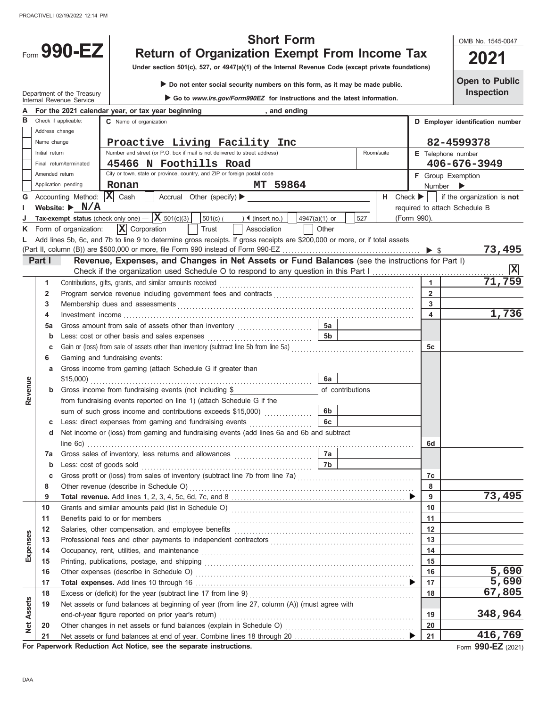PROACTIVELI 02/19/2022 12:14 PM

|                   |                |                                                        | <b>Short Form</b>                                                                                                                                                                                                                       |                              | OMB No. 1545-0047                                                   |
|-------------------|----------------|--------------------------------------------------------|-----------------------------------------------------------------------------------------------------------------------------------------------------------------------------------------------------------------------------------------|------------------------------|---------------------------------------------------------------------|
|                   |                | Form 990-EZ                                            | <b>Return of Organization Exempt From Income Tax</b>                                                                                                                                                                                    |                              | 2021                                                                |
|                   |                |                                                        | Under section 501(c), 527, or 4947(a)(1) of the Internal Revenue Code (except private foundations)                                                                                                                                      |                              |                                                                     |
|                   |                |                                                        | Do not enter social security numbers on this form, as it may be made public.                                                                                                                                                            |                              | <b>Open to Public</b>                                               |
|                   |                | Department of the Treasury<br>Internal Revenue Service | Go to www.irs.gov/Form990EZ for instructions and the latest information.                                                                                                                                                                |                              | <b>Inspection</b>                                                   |
|                   |                |                                                        | For the 2021 calendar year, or tax year beginning<br>, and ending                                                                                                                                                                       |                              |                                                                     |
| в                 |                | Check if applicable:                                   | C Name of organization                                                                                                                                                                                                                  |                              | D Employer identification number                                    |
|                   | Address change |                                                        |                                                                                                                                                                                                                                         |                              |                                                                     |
|                   | Name change    |                                                        | Proactive Living Facility Inc                                                                                                                                                                                                           |                              | 82-4599378                                                          |
|                   | Initial return |                                                        | Number and street (or P.O. box if mail is not delivered to street address)<br>Room/suite                                                                                                                                                | E Telephone number           |                                                                     |
|                   |                | Final return/terminated                                | 45466 N Foothills Road                                                                                                                                                                                                                  |                              | $406 - 676 - 3949$                                                  |
|                   | Amended return |                                                        | City or town, state or province, country, and ZIP or foreign postal code                                                                                                                                                                | F Group Exemption            |                                                                     |
|                   |                | Application pending                                    | MT 59864<br>Ronan                                                                                                                                                                                                                       | Number $\blacktriangleright$ |                                                                     |
| G                 |                | Accounting Method:                                     | $ \mathbf{X} $ Cash<br>Accrual Other (specify) ▶                                                                                                                                                                                        |                              | $H$ Check $\blacktriangleright$   if the organization is <b>not</b> |
|                   |                | Website: $\triangleright$ N/A                          |                                                                                                                                                                                                                                         |                              | required to attach Schedule B                                       |
|                   |                |                                                        | Tax-exempt status (check only one) $-\left \mathbf{X}\right $ 501(c)(3)<br>501(c)(<br>$)$ (insert no.)<br>$4947(a)(1)$ or<br>527                                                                                                        | (Form 990).                  |                                                                     |
| K.                |                | Form of organization:                                  | $\overline{\mathbf{X}}$ Corporation<br>Trust<br>Association<br>Other                                                                                                                                                                    |                              |                                                                     |
|                   |                |                                                        | Add lines 5b, 6c, and 7b to line 9 to determine gross receipts. If gross receipts are \$200,000 or more, or if total assets                                                                                                             |                              | 73,495                                                              |
|                   | Part I         |                                                        | Revenue, Expenses, and Changes in Net Assets or Fund Balances (see the instructions for Part I)                                                                                                                                         |                              |                                                                     |
|                   |                |                                                        |                                                                                                                                                                                                                                         |                              | X                                                                   |
|                   | 1              |                                                        | Contributions, gifts, grants, and similar amounts received                                                                                                                                                                              | $\mathbf{1}$                 | 71,759                                                              |
|                   | $\mathbf{2}$   |                                                        |                                                                                                                                                                                                                                         | $\overline{2}$               |                                                                     |
|                   | 3              |                                                        | Membership dues and assessments <b>contained a material container and a</b> see and assessments <b>container and a</b> see and a see and a see and a see and a see and a see and a see and a see and a set of the set of the set of the | 3                            |                                                                     |
|                   | 4              |                                                        |                                                                                                                                                                                                                                         | 4                            | 1,736                                                               |
|                   | 5a             |                                                        | 5а                                                                                                                                                                                                                                      |                              |                                                                     |
|                   | b              |                                                        | 5 <sub>b</sub><br>Less: cost or other basis and sales expenses                                                                                                                                                                          |                              |                                                                     |
|                   | C              |                                                        | Gain or (loss) from sale of assets other than inventory (subtract line 5b from line 5a)                                                                                                                                                 | 5c                           |                                                                     |
|                   | 6              |                                                        | Gaming and fundraising events:                                                                                                                                                                                                          |                              |                                                                     |
|                   | a              |                                                        | Gross income from gaming (attach Schedule G if greater than                                                                                                                                                                             |                              |                                                                     |
|                   |                | $$15,000$ )                                            | 6а                                                                                                                                                                                                                                      |                              |                                                                     |
| Revenue           | b              |                                                        | Gross income from fundraising events (not including \$<br>of contributions                                                                                                                                                              |                              |                                                                     |
|                   |                |                                                        | from fundraising events reported on line 1) (attach Schedule G if the                                                                                                                                                                   |                              |                                                                     |
|                   |                |                                                        | sum of such gross income and contributions exceeds \$15,000)<br>6b                                                                                                                                                                      |                              |                                                                     |
|                   | c              |                                                        | Less: direct expenses from gaming and fundraising events<br>6c                                                                                                                                                                          |                              |                                                                     |
|                   | d              |                                                        | Net income or (loss) from gaming and fundraising events (add lines 6a and 6b and subtract                                                                                                                                               |                              |                                                                     |
|                   | 7a             |                                                        | 7a                                                                                                                                                                                                                                      | 6d                           |                                                                     |
|                   | $\mathbf b$    | Less: cost of goods sold                               | 7 <sub>b</sub>                                                                                                                                                                                                                          |                              |                                                                     |
|                   | c              |                                                        |                                                                                                                                                                                                                                         | 7c                           |                                                                     |
|                   | 8              |                                                        | Other revenue (describe in Schedule O)                                                                                                                                                                                                  | 8                            |                                                                     |
|                   | 9              |                                                        |                                                                                                                                                                                                                                         | 9                            | 73,495                                                              |
|                   | 10             |                                                        |                                                                                                                                                                                                                                         | 10                           |                                                                     |
|                   | 11             |                                                        | Benefits paid to or for members                                                                                                                                                                                                         | 11                           |                                                                     |
|                   | 12             |                                                        |                                                                                                                                                                                                                                         | 12                           |                                                                     |
|                   | 13             |                                                        |                                                                                                                                                                                                                                         | 13                           |                                                                     |
| Expenses          | 14             |                                                        |                                                                                                                                                                                                                                         | 14                           |                                                                     |
|                   | 15             |                                                        |                                                                                                                                                                                                                                         | 15                           |                                                                     |
|                   | 16             |                                                        |                                                                                                                                                                                                                                         | 16                           | 5,690                                                               |
|                   | 17             |                                                        |                                                                                                                                                                                                                                         | 17                           | 5,690                                                               |
|                   | 18             |                                                        |                                                                                                                                                                                                                                         | 18                           | 67,805                                                              |
| <b>Net Assets</b> | 19             |                                                        | Net assets or fund balances at beginning of year (from line 27, column (A)) (must agree with                                                                                                                                            |                              | 348,964                                                             |
|                   |                |                                                        | end-of-year figure reported on prior year's return)                                                                                                                                                                                     | 19<br>20                     |                                                                     |
|                   | 20             |                                                        |                                                                                                                                                                                                                                         | 21                           | 416,769                                                             |
|                   | 21             |                                                        |                                                                                                                                                                                                                                         |                              |                                                                     |

**For Paperwork Reduction Act Notice, see the separate instructions.**

Form **990-EZ** (2021)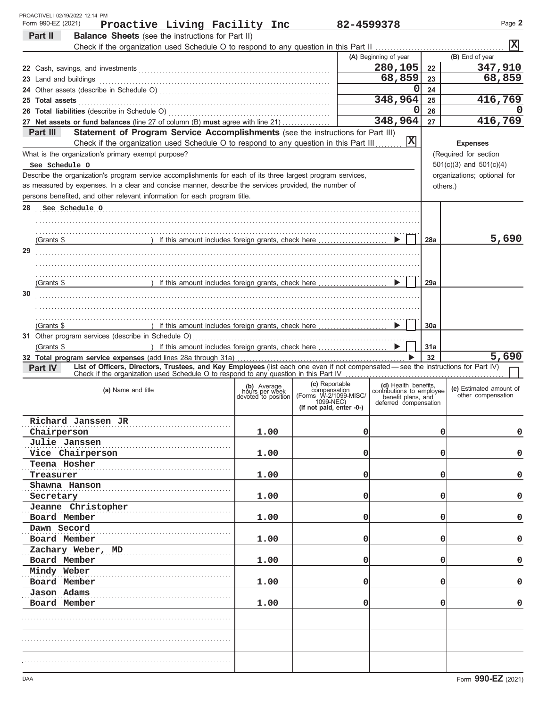| PROACTIVELI 02/19/2022 12:14 PM<br>Form 990-EZ (2021)<br>Proactive Living Facility Inc                                                                                                 |                                                      |                                    | 82-4599378                                        |                 | Page 2                      |
|----------------------------------------------------------------------------------------------------------------------------------------------------------------------------------------|------------------------------------------------------|------------------------------------|---------------------------------------------------|-----------------|-----------------------------|
| <b>Balance Sheets</b> (see the instructions for Part II)<br>Part II                                                                                                                    |                                                      |                                    |                                                   |                 | X                           |
|                                                                                                                                                                                        |                                                      |                                    | (A) Beginning of year                             |                 | (B) End of year             |
|                                                                                                                                                                                        |                                                      |                                    | 280,105                                           | 22              | 347,910                     |
| 23 Land and buildings                                                                                                                                                                  |                                                      |                                    | 68,859                                            | 23              | 68,859                      |
|                                                                                                                                                                                        |                                                      |                                    | $\mathbf 0$                                       | 24              |                             |
|                                                                                                                                                                                        |                                                      |                                    | 348,964                                           | 25              | 416,769                     |
| 25 Total assets                                                                                                                                                                        |                                                      |                                    | 0                                                 |                 | O                           |
|                                                                                                                                                                                        |                                                      |                                    | 348,964                                           | 26              | 416,769                     |
| 27 Net assets or fund balances (line 27 of column (B) must agree with line 21)                                                                                                         |                                                      |                                    |                                                   | 27              |                             |
| Statement of Program Service Accomplishments (see the instructions for Part III)<br>Part III<br>Check if the organization used Schedule O to respond to any question in this Part III. |                                                      |                                    | $ \mathbf{x} $                                    |                 | <b>Expenses</b>             |
| What is the organization's primary exempt purpose?                                                                                                                                     |                                                      |                                    |                                                   |                 | (Required for section       |
| See Schedule O                                                                                                                                                                         |                                                      |                                    |                                                   |                 | $501(c)(3)$ and $501(c)(4)$ |
| Describe the organization's program service accomplishments for each of its three largest program services,                                                                            |                                                      |                                    |                                                   |                 | organizations; optional for |
| as measured by expenses. In a clear and concise manner, describe the services provided, the number of                                                                                  |                                                      |                                    |                                                   | others.)        |                             |
| persons benefited, and other relevant information for each program title.                                                                                                              |                                                      |                                    |                                                   |                 |                             |
| 28<br>See Schedule O                                                                                                                                                                   |                                                      |                                    |                                                   |                 |                             |
|                                                                                                                                                                                        |                                                      |                                    |                                                   |                 |                             |
| ) If this amount includes foreign grants, check here<br>(Grants \$                                                                                                                     |                                                      |                                    |                                                   | 28a             | 5,690                       |
| 29                                                                                                                                                                                     |                                                      |                                    |                                                   |                 |                             |
|                                                                                                                                                                                        |                                                      |                                    |                                                   |                 |                             |
| ) If this amount includes foreign grants, check here<br>(Grants \$                                                                                                                     |                                                      |                                    |                                                   | 29a             |                             |
| 30                                                                                                                                                                                     |                                                      |                                    |                                                   |                 |                             |
|                                                                                                                                                                                        |                                                      |                                    |                                                   |                 |                             |
|                                                                                                                                                                                        |                                                      |                                    |                                                   |                 |                             |
| ) If this amount includes foreign grants, check here<br>(Grants \$                                                                                                                     |                                                      |                                    |                                                   | 30a             |                             |
|                                                                                                                                                                                        |                                                      |                                    |                                                   |                 |                             |
| ) If this amount includes foreign grants, check here<br>(Grants \$                                                                                                                     |                                                      |                                    |                                                   | 31a             |                             |
| 32 Total program service expenses (add lines 28a through 31a)                                                                                                                          |                                                      |                                    |                                                   | 32 <sub>2</sub> | 5,690                       |
| List of Officers, Directors, Trustees, and Key Employees (list each one even if not compensated - see the instructions for Part IV)<br>Part IV                                         |                                                      |                                    |                                                   |                 |                             |
|                                                                                                                                                                                        |                                                      | (c) Reportable                     |                                                   |                 |                             |
| (a) Name and title                                                                                                                                                                     | (b) Average<br>hours per week<br>devoted to position | compensation                       | (d) Health benefits,<br>contributions to employee |                 | (e) Estimated amount of     |
|                                                                                                                                                                                        |                                                      | (Forms W-2/1099-MISC/<br>1099-NEC) | benefit plans, and<br>deferred compensation       |                 | other compensation          |
|                                                                                                                                                                                        |                                                      | (if not paid, enter -0-)           |                                                   |                 |                             |
| Richard Janssen JR                                                                                                                                                                     |                                                      |                                    |                                                   |                 |                             |
| Chairperson                                                                                                                                                                            | 1.00                                                 | 0                                  |                                                   | 0               | 0                           |
| Julie Janssen                                                                                                                                                                          |                                                      |                                    |                                                   |                 |                             |
| Vice Chairperson                                                                                                                                                                       | 1.00                                                 | 0                                  |                                                   | 0               | 0                           |
| Teena Hosher                                                                                                                                                                           |                                                      |                                    |                                                   |                 |                             |
| Treasurer                                                                                                                                                                              | 1.00                                                 | 0                                  |                                                   | 0               | 0                           |
| Shawna Hanson                                                                                                                                                                          |                                                      |                                    |                                                   |                 |                             |
| Secretary                                                                                                                                                                              | 1.00                                                 | 0                                  |                                                   | 0               | 0                           |
| Jeanne Christopher                                                                                                                                                                     |                                                      |                                    |                                                   |                 |                             |
| Board Member                                                                                                                                                                           | 1.00                                                 | 0                                  |                                                   | 0               | 0                           |
| Dawn Secord                                                                                                                                                                            |                                                      |                                    |                                                   |                 |                             |
| Board Member                                                                                                                                                                           | 1.00                                                 | 0                                  |                                                   | 0               | 0                           |
| Zachary Weber, MD                                                                                                                                                                      |                                                      |                                    |                                                   |                 |                             |
| Board Member                                                                                                                                                                           | 1.00                                                 | 0                                  |                                                   | 0               | 0                           |
| Mindy Weber                                                                                                                                                                            |                                                      |                                    |                                                   |                 |                             |
| Board Member                                                                                                                                                                           | 1.00                                                 | 0                                  |                                                   | 0               | $\Omega$                    |
| Jason Adams                                                                                                                                                                            |                                                      |                                    |                                                   |                 |                             |
| Board Member                                                                                                                                                                           | 1.00                                                 | 0                                  |                                                   | 0               | $\Omega$                    |
|                                                                                                                                                                                        |                                                      |                                    |                                                   |                 |                             |
|                                                                                                                                                                                        |                                                      |                                    |                                                   |                 |                             |
|                                                                                                                                                                                        |                                                      |                                    |                                                   |                 |                             |
|                                                                                                                                                                                        |                                                      |                                    |                                                   |                 |                             |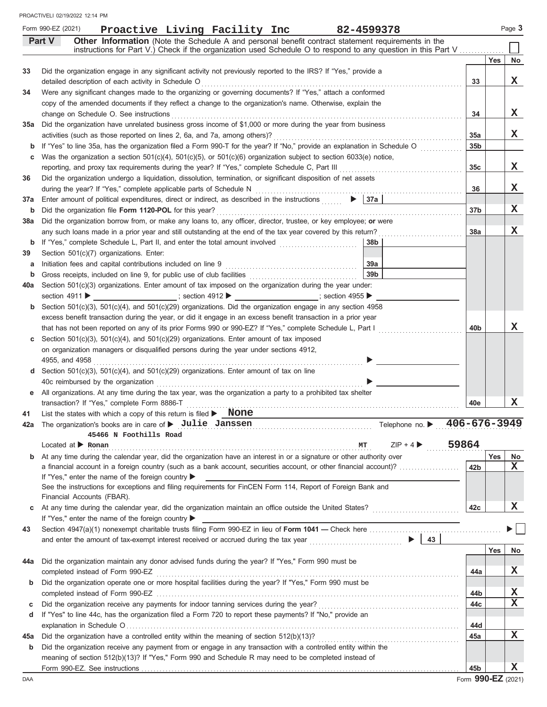|     | Form 990-EZ (2021)                |                                                                                                                             | Proactive Living Facility Inc | 82-4599378      |                 |                 |            | Page 3 |
|-----|-----------------------------------|-----------------------------------------------------------------------------------------------------------------------------|-------------------------------|-----------------|-----------------|-----------------|------------|--------|
|     | Part V                            | Other Information (Note the Schedule A and personal benefit contract statement requirements in the                          |                               |                 |                 |                 |            |        |
|     |                                   | instructions for Part V.) Check if the organization used Schedule O to respond to any question in this Part V               |                               |                 |                 |                 | <b>Yes</b> |        |
| 33  |                                   | Did the organization engage in any significant activity not previously reported to the IRS? If "Yes," provide a             |                               |                 |                 |                 |            | No     |
|     |                                   | detailed description of each activity in Schedule O                                                                         |                               |                 |                 | 33              |            | X      |
| 34  |                                   | Were any significant changes made to the organizing or governing documents? If "Yes," attach a conformed                    |                               |                 |                 |                 |            |        |
|     |                                   | copy of the amended documents if they reflect a change to the organization's name. Otherwise, explain the                   |                               |                 |                 |                 |            |        |
|     |                                   | change on Schedule O. See instructions                                                                                      |                               |                 |                 | 34              |            | X      |
| 35а |                                   | Did the organization have unrelated business gross income of \$1,000 or more during the year from business                  |                               |                 |                 |                 |            |        |
|     |                                   | activities (such as those reported on lines 2, 6a, and 7a, among others)?                                                   |                               |                 |                 | 35a             |            | X      |
| b   |                                   | If "Yes" to line 35a, has the organization filed a Form 990-T for the year? If "No," provide an explanation in Schedule O   |                               |                 |                 | 35 <sub>b</sub> |            |        |
| с   |                                   | Was the organization a section $501(c)(4)$ , $501(c)(5)$ , or $501(c)(6)$ organization subject to section $6033(e)$ notice, |                               |                 |                 |                 |            |        |
|     |                                   | reporting, and proxy tax requirements during the year? If "Yes," complete Schedule C, Part III                              |                               |                 |                 | 35 <sub>c</sub> |            | X      |
| 36  |                                   | Did the organization undergo a liquidation, dissolution, termination, or significant disposition of net assets              |                               |                 |                 |                 |            |        |
|     |                                   | during the year? If "Yes," complete applicable parts of Schedule N                                                          |                               |                 |                 | 36              |            | X      |
| 37a |                                   | Enter amount of political expenditures, direct or indirect, as described in the instructions                                |                               | ▶<br>  37a      |                 |                 |            |        |
| b   |                                   | Did the organization file Form 1120-POL for this year?                                                                      |                               |                 |                 | 37b             |            | X      |
| 38a |                                   | Did the organization borrow from, or make any loans to, any officer, director, trustee, or key employee; or were            |                               |                 |                 |                 |            |        |
|     |                                   | any such loans made in a prior year and still outstanding at the end of the tax year covered by this return?                |                               |                 |                 | 38a             |            | x      |
| b   |                                   | If "Yes," complete Schedule L, Part II, and enter the total amount involved                                                 |                               | 38 <sub>b</sub> |                 |                 |            |        |
| 39  |                                   | Section 501(c)(7) organizations. Enter:                                                                                     |                               |                 |                 |                 |            |        |
| а   |                                   | Initiation fees and capital contributions included on line 9                                                                |                               | 39a             |                 |                 |            |        |
| b   |                                   | Gross receipts, included on line 9, for public use of club facilities                                                       |                               | 39 <sub>b</sub> |                 |                 |            |        |
| 40a |                                   | Section $501(c)(3)$ organizations. Enter amount of tax imposed on the organization during the year under:                   |                               |                 |                 |                 |            |        |
|     |                                   | section 4911 ▶ ____________________; section 4912 ▶ __________________; section 4955 ▶                                      |                               |                 |                 |                 |            |        |
| b   |                                   | Section 501(c)(3), 501(c)(4), and 501(c)(29) organizations. Did the organization engage in any section 4958                 |                               |                 |                 |                 |            |        |
|     |                                   | excess benefit transaction during the year, or did it engage in an excess benefit transaction in a prior year               |                               |                 |                 |                 |            |        |
|     |                                   | that has not been reported on any of its prior Forms 990 or 990-EZ? If "Yes," complete Schedule L, Part I                   |                               |                 |                 | 40b             |            | x      |
| С   |                                   | Section $501(c)(3)$ , $501(c)(4)$ , and $501(c)(29)$ organizations. Enter amount of tax imposed                             |                               |                 |                 |                 |            |        |
|     |                                   | on organization managers or disqualified persons during the year under sections 4912,                                       |                               |                 |                 |                 |            |        |
|     | 4955, and 4958                    |                                                                                                                             |                               |                 |                 |                 |            |        |
| d   |                                   | Section 501(c)(3), 501(c)(4), and 501(c)(29) organizations. Enter amount of tax on line                                     |                               |                 |                 |                 |            |        |
|     |                                   | 40c reimbursed by the organization                                                                                          |                               |                 |                 |                 |            |        |
| е   |                                   | All organizations. At any time during the tax year, was the organization a party to a prohibited tax shelter                |                               |                 |                 |                 |            |        |
|     |                                   | transaction? If "Yes," complete Form 8886-T                                                                                 |                               |                 |                 | 40e             |            | x      |
| 41  |                                   | List the states with which a copy of this return is filed $\triangleright$ <b>None</b>                                      |                               |                 |                 |                 |            |        |
| 42a |                                   | The organization's books are in care of $\blacktriangleright$ Julie Janssen                                                 |                               |                 | Telephone no. ▶ | 406-676-3949    |            |        |
|     |                                   | 45466 N Foothills Road                                                                                                      |                               |                 |                 |                 |            |        |
|     | Located at $\triangleright$ Ronan |                                                                                                                             |                               | МT              | $ZIP + 4$       | 59864           |            |        |
| b   |                                   | At any time during the calendar year, did the organization have an interest in or a signature or other authority over       |                               |                 |                 |                 | Yes        | No     |
|     |                                   | a financial account in a foreign country (such as a bank account, securities account, or other financial account)?          |                               |                 |                 | 42 <sub>b</sub> |            | x      |
|     |                                   | If "Yes," enter the name of the foreign country ▶                                                                           |                               |                 |                 |                 |            |        |
|     |                                   | See the instructions for exceptions and filing requirements for FinCEN Form 114, Report of Foreign Bank and                 |                               |                 |                 |                 |            |        |
|     |                                   | Financial Accounts (FBAR).                                                                                                  |                               |                 |                 |                 |            |        |
| С   |                                   |                                                                                                                             |                               |                 |                 | 42c             |            | X      |
|     |                                   | If "Yes," enter the name of the foreign country ▶                                                                           |                               |                 |                 |                 |            |        |
| 43  |                                   |                                                                                                                             |                               |                 |                 |                 |            |        |
|     |                                   | and enter the amount of tax-exempt interest received or accrued during the tax year [[[[[[[[[[[[[[[[[[[[[[[[[               |                               |                 | 43              |                 |            |        |
|     |                                   |                                                                                                                             |                               |                 |                 |                 | <b>Yes</b> | No     |
| 44a |                                   | Did the organization maintain any donor advised funds during the year? If "Yes," Form 990 must be                           |                               |                 |                 |                 |            |        |
|     |                                   | completed instead of Form 990-EZ                                                                                            |                               |                 |                 | 44a             |            | x      |
| b   |                                   | Did the organization operate one or more hospital facilities during the year? If "Yes," Form 990 must be                    |                               |                 |                 |                 |            |        |
|     |                                   |                                                                                                                             |                               |                 |                 | 44b             |            | X<br>x |
| C   |                                   |                                                                                                                             |                               |                 |                 | 44c             |            |        |
| d   |                                   | If "Yes" to line 44c, has the organization filed a Form 720 to report these payments? If "No," provide an                   |                               |                 |                 |                 |            |        |
|     |                                   |                                                                                                                             |                               |                 |                 | 44d             |            |        |
| 45a |                                   | Did the organization have a controlled entity within the meaning of section $512(b)(13)$ ?                                  |                               |                 |                 | 45a             |            | x      |
| b   |                                   | Did the organization receive any payment from or engage in any transaction with a controlled entity within the              |                               |                 |                 |                 |            |        |
|     |                                   | meaning of section 512(b)(13)? If "Yes," Form 990 and Schedule R may need to be completed instead of                        |                               |                 |                 |                 |            |        |
|     |                                   |                                                                                                                             |                               |                 |                 | 45b             |            | X      |

PROACTIVELI 02/19/2022 12:14 PM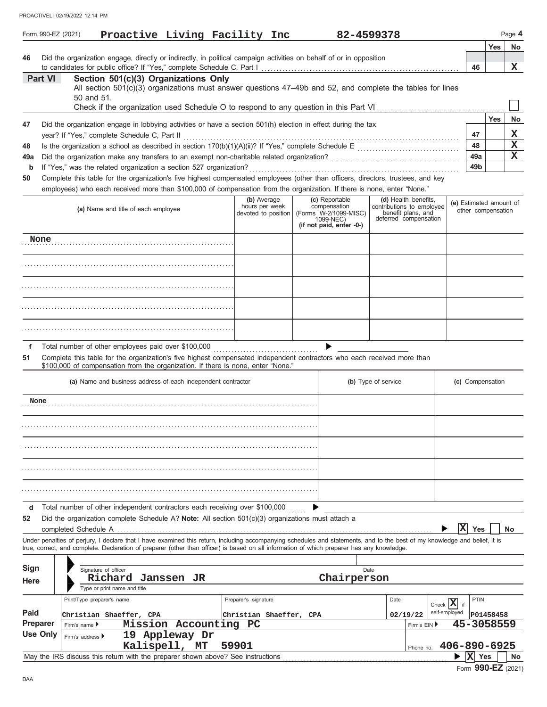PROACTIVELI 02/19/2022 12:14 PM

|                 |                | Proactive Living Facility Inc<br>Form 990-EZ (2021)                                                                                                                                                                                                                                                                      |                                                      | 82-4599378                                                                                       |                     |                                                                                                  |                                 |                    | Page 4      |
|-----------------|----------------|--------------------------------------------------------------------------------------------------------------------------------------------------------------------------------------------------------------------------------------------------------------------------------------------------------------------------|------------------------------------------------------|--------------------------------------------------------------------------------------------------|---------------------|--------------------------------------------------------------------------------------------------|---------------------------------|--------------------|-------------|
|                 |                |                                                                                                                                                                                                                                                                                                                          |                                                      |                                                                                                  |                     |                                                                                                  |                                 | <b>Yes</b>         | <b>No</b>   |
| 46              |                | Did the organization engage, directly or indirectly, in political campaign activities on behalf of or in opposition                                                                                                                                                                                                      |                                                      |                                                                                                  |                     |                                                                                                  | 46                              |                    | x           |
|                 | <b>Part VI</b> | Section 501(c)(3) Organizations Only<br>All section $501(c)(3)$ organizations must answer questions 47-49b and 52, and complete the tables for lines<br>50 and 51.                                                                                                                                                       |                                                      |                                                                                                  |                     |                                                                                                  |                                 |                    |             |
| 47              |                | Did the organization engage in lobbying activities or have a section 501(h) election in effect during the tax                                                                                                                                                                                                            |                                                      |                                                                                                  |                     |                                                                                                  |                                 | <b>Yes</b>         | No          |
|                 |                | year? If "Yes," complete Schedule C, Part II                                                                                                                                                                                                                                                                             |                                                      |                                                                                                  |                     |                                                                                                  | 47                              |                    | х           |
| 48              |                |                                                                                                                                                                                                                                                                                                                          |                                                      |                                                                                                  |                     |                                                                                                  | 48                              |                    | $\mathbf x$ |
| 49a             |                |                                                                                                                                                                                                                                                                                                                          |                                                      |                                                                                                  |                     |                                                                                                  | 49a                             |                    | x           |
| b<br>50         |                | If "Yes," was the related organization a section 527 organization?<br>Complete this table for the organization's five highest compensated employees (other than officers, directors, trustees, and key                                                                                                                   |                                                      |                                                                                                  |                     |                                                                                                  | 49 <sub>b</sub>                 |                    |             |
|                 |                | employees) who each received more than \$100,000 of compensation from the organization. If there is none, enter "None."                                                                                                                                                                                                  |                                                      |                                                                                                  |                     |                                                                                                  |                                 |                    |             |
|                 |                | (a) Name and title of each employee                                                                                                                                                                                                                                                                                      | (b) Average<br>hours per week<br>devoted to position | (c) Reportable<br>compensation<br>(Forms W-2/1099-MISC)<br>1099-NEC)<br>(if not paid, enter -0-) |                     | (d) Health benefits,<br>contributions to employee<br>benefit plans, and<br>deferred compensation | (e) Estimated amount of         | other compensation |             |
| None            |                |                                                                                                                                                                                                                                                                                                                          |                                                      |                                                                                                  |                     |                                                                                                  |                                 |                    |             |
|                 |                |                                                                                                                                                                                                                                                                                                                          |                                                      |                                                                                                  |                     |                                                                                                  |                                 |                    |             |
|                 |                |                                                                                                                                                                                                                                                                                                                          |                                                      |                                                                                                  |                     |                                                                                                  |                                 |                    |             |
|                 |                |                                                                                                                                                                                                                                                                                                                          |                                                      |                                                                                                  |                     |                                                                                                  |                                 |                    |             |
|                 |                |                                                                                                                                                                                                                                                                                                                          |                                                      |                                                                                                  |                     |                                                                                                  |                                 |                    |             |
|                 |                |                                                                                                                                                                                                                                                                                                                          |                                                      |                                                                                                  |                     |                                                                                                  |                                 |                    |             |
|                 |                |                                                                                                                                                                                                                                                                                                                          |                                                      |                                                                                                  |                     |                                                                                                  |                                 |                    |             |
| f<br>51         |                | Total number of other employees paid over \$100,000<br>Complete this table for the organization's five highest compensated independent contractors who each received more than<br>\$100,000 of compensation from the organization. If there is none, enter "None."                                                       |                                                      |                                                                                                  |                     |                                                                                                  |                                 |                    |             |
|                 |                | (a) Name and business address of each independent contractor                                                                                                                                                                                                                                                             |                                                      |                                                                                                  | (b) Type of service |                                                                                                  | (c) Compensation                |                    |             |
| None            |                |                                                                                                                                                                                                                                                                                                                          |                                                      |                                                                                                  |                     |                                                                                                  |                                 |                    |             |
|                 |                |                                                                                                                                                                                                                                                                                                                          |                                                      |                                                                                                  |                     |                                                                                                  |                                 |                    |             |
|                 |                |                                                                                                                                                                                                                                                                                                                          |                                                      |                                                                                                  |                     |                                                                                                  |                                 |                    |             |
|                 |                |                                                                                                                                                                                                                                                                                                                          |                                                      |                                                                                                  |                     |                                                                                                  |                                 |                    |             |
|                 |                |                                                                                                                                                                                                                                                                                                                          |                                                      |                                                                                                  |                     |                                                                                                  |                                 |                    |             |
| d               |                | Total number of other independent contractors each receiving over \$100,000                                                                                                                                                                                                                                              |                                                      |                                                                                                  |                     |                                                                                                  |                                 |                    |             |
| 52              |                | Did the organization complete Schedule A? Note: All section $501(c)(3)$ organizations must attach a<br>completed Schedule A                                                                                                                                                                                              |                                                      |                                                                                                  |                     |                                                                                                  | $\mathbf{x}$<br>Yes             |                    | <b>No</b>   |
|                 |                | Under penalties of perjury, I declare that I have examined this return, including accompanying schedules and statements, and to the best of my knowledge and belief, it is<br>true, correct, and complete. Declaration of preparer (other than officer) is based on all information of which preparer has any knowledge. |                                                      |                                                                                                  |                     |                                                                                                  |                                 |                    |             |
| Sign            |                |                                                                                                                                                                                                                                                                                                                          |                                                      |                                                                                                  |                     |                                                                                                  |                                 |                    |             |
| Here            |                | Signature of officer<br>Richard<br>Janssen JR<br>Type or print name and title                                                                                                                                                                                                                                            |                                                      | Date<br>Chairperson                                                                              |                     |                                                                                                  |                                 |                    |             |
|                 |                | Print/Type preparer's name                                                                                                                                                                                                                                                                                               | Preparer's signature                                 |                                                                                                  | Date                |                                                                                                  | PTIN<br>Check $ \mathbf{X} $ if |                    |             |
| <b>Paid</b>     |                | Christian Shaeffer, CPA                                                                                                                                                                                                                                                                                                  | Christian Shaeffer, CPA                              |                                                                                                  |                     | 02/19/22                                                                                         | self-employed                   | P01458458          |             |
| Preparer        |                | Mission Accounting PC<br>Firm's name $\blacktriangleright$                                                                                                                                                                                                                                                               |                                                      |                                                                                                  |                     | Firm's EIN ▶                                                                                     | 45-3058559                      |                    |             |
| <b>Use Only</b> |                | 19 Appleway Dr<br>Firm's address ▶<br>Kalispell, MT                                                                                                                                                                                                                                                                      | 59901                                                |                                                                                                  |                     | Phone no.                                                                                        | 406-890-6925                    |                    |             |
|                 |                | May the IRS discuss this return with the preparer shown above? See instructions                                                                                                                                                                                                                                          |                                                      |                                                                                                  |                     |                                                                                                  | X Yes                           |                    | <b>No</b>   |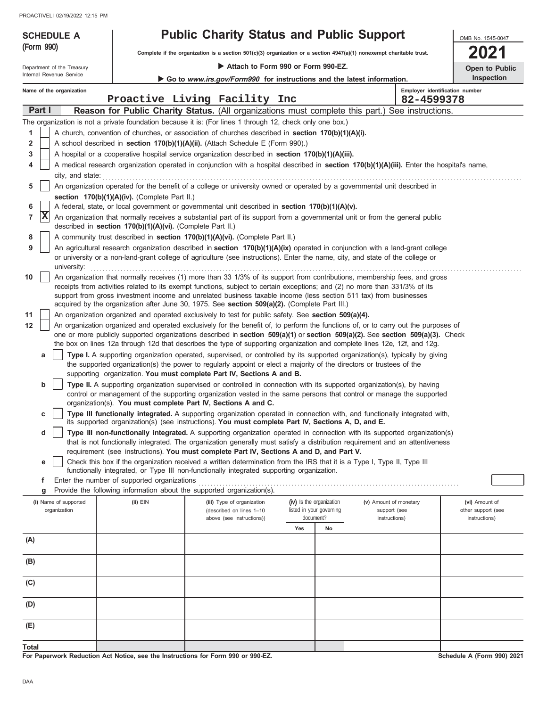PROACTIVELI 02/19/2022 12:15 PM

(Form 990)

## **SCHEDULE A Public Charity Status and Public Support**

**Complete if the organization is a section 501(c)(3) organization or a section 4947(a)(1) nonexempt charitable trust.**

**2021**

OMB No. 1545-0047

| Attach to Form 990 or Form 990-EZ.<br>Department of the Treasury |                                                                                                                                                                |                                                            |                                                                                                                                                                                                                                                  | Open to Public |                                                                   |                                                                                                                                                                                                                                                                       |                                                       |
|------------------------------------------------------------------|----------------------------------------------------------------------------------------------------------------------------------------------------------------|------------------------------------------------------------|--------------------------------------------------------------------------------------------------------------------------------------------------------------------------------------------------------------------------------------------------|----------------|-------------------------------------------------------------------|-----------------------------------------------------------------------------------------------------------------------------------------------------------------------------------------------------------------------------------------------------------------------|-------------------------------------------------------|
|                                                                  | Internal Revenue Service                                                                                                                                       |                                                            | Go to www.irs.gov/Form990 for instructions and the latest information.                                                                                                                                                                           |                |                                                                   |                                                                                                                                                                                                                                                                       | Inspection                                            |
|                                                                  | Name of the organization                                                                                                                                       |                                                            | Proactive Living Facility Inc                                                                                                                                                                                                                    |                |                                                                   | Employer identification number<br>82-4599378                                                                                                                                                                                                                          |                                                       |
| Part I                                                           |                                                                                                                                                                |                                                            |                                                                                                                                                                                                                                                  |                |                                                                   | Reason for Public Charity Status. (All organizations must complete this part.) See instructions.                                                                                                                                                                      |                                                       |
|                                                                  |                                                                                                                                                                |                                                            | The organization is not a private foundation because it is: (For lines 1 through 12, check only one box.)                                                                                                                                        |                |                                                                   |                                                                                                                                                                                                                                                                       |                                                       |
| 1                                                                |                                                                                                                                                                |                                                            | A church, convention of churches, or association of churches described in <b>section 170(b)(1)(A)(i).</b>                                                                                                                                        |                |                                                                   |                                                                                                                                                                                                                                                                       |                                                       |
| 2                                                                |                                                                                                                                                                |                                                            | A school described in section 170(b)(1)(A)(ii). (Attach Schedule E (Form 990).)                                                                                                                                                                  |                |                                                                   |                                                                                                                                                                                                                                                                       |                                                       |
| 3                                                                |                                                                                                                                                                |                                                            | A hospital or a cooperative hospital service organization described in section $170(b)(1)(A)(iii)$ .                                                                                                                                             |                |                                                                   |                                                                                                                                                                                                                                                                       |                                                       |
| 4                                                                | A medical research organization operated in conjunction with a hospital described in section 170(b)(1)(A)(iii). Enter the hospital's name,<br>city, and state: |                                                            |                                                                                                                                                                                                                                                  |                |                                                                   |                                                                                                                                                                                                                                                                       |                                                       |
| 5                                                                |                                                                                                                                                                |                                                            | An organization operated for the benefit of a college or university owned or operated by a governmental unit described in                                                                                                                        |                |                                                                   |                                                                                                                                                                                                                                                                       |                                                       |
|                                                                  |                                                                                                                                                                | section 170(b)(1)(A)(iv). (Complete Part II.)              |                                                                                                                                                                                                                                                  |                |                                                                   |                                                                                                                                                                                                                                                                       |                                                       |
| 6                                                                |                                                                                                                                                                |                                                            | A federal, state, or local government or governmental unit described in section 170(b)(1)(A)(v).                                                                                                                                                 |                |                                                                   |                                                                                                                                                                                                                                                                       |                                                       |
| x<br>$\overline{7}$                                              |                                                                                                                                                                | described in section 170(b)(1)(A)(vi). (Complete Part II.) | An organization that normally receives a substantial part of its support from a governmental unit or from the general public                                                                                                                     |                |                                                                   |                                                                                                                                                                                                                                                                       |                                                       |
| 8                                                                |                                                                                                                                                                |                                                            | A community trust described in section 170(b)(1)(A)(vi). (Complete Part II.)                                                                                                                                                                     |                |                                                                   |                                                                                                                                                                                                                                                                       |                                                       |
| 9                                                                | university:                                                                                                                                                    |                                                            | or university or a non-land-grant college of agriculture (see instructions). Enter the name, city, and state of the college or                                                                                                                   |                |                                                                   | An agricultural research organization described in section 170(b)(1)(A)(ix) operated in conjunction with a land-grant college                                                                                                                                         |                                                       |
| 10                                                               |                                                                                                                                                                |                                                            | receipts from activities related to its exempt functions, subject to certain exceptions; and (2) no more than 331/3% of its<br>support from gross investment income and unrelated business taxable income (less section 511 tax) from businesses |                |                                                                   | An organization that normally receives (1) more than 33 1/3% of its support from contributions, membership fees, and gross                                                                                                                                            |                                                       |
|                                                                  |                                                                                                                                                                |                                                            | acquired by the organization after June 30, 1975. See section 509(a)(2). (Complete Part III.)                                                                                                                                                    |                |                                                                   |                                                                                                                                                                                                                                                                       |                                                       |
| 11                                                               |                                                                                                                                                                |                                                            | An organization organized and operated exclusively to test for public safety. See section 509(a)(4).                                                                                                                                             |                |                                                                   |                                                                                                                                                                                                                                                                       |                                                       |
| 12                                                               |                                                                                                                                                                |                                                            | the box on lines 12a through 12d that describes the type of supporting organization and complete lines 12e, 12f, and 12g.                                                                                                                        |                |                                                                   | An organization organized and operated exclusively for the benefit of, to perform the functions of, or to carry out the purposes of<br>one or more publicly supported organizations described in section 509(a)(1) or section 509(a)(2). See section 509(a)(3). Check |                                                       |
| a                                                                |                                                                                                                                                                |                                                            | the supported organization(s) the power to regularly appoint or elect a majority of the directors or trustees of the<br>supporting organization. You must complete Part IV, Sections A and B.                                                    |                |                                                                   | Type I. A supporting organization operated, supervised, or controlled by its supported organization(s), typically by giving                                                                                                                                           |                                                       |
| b                                                                |                                                                                                                                                                |                                                            | <b>Type II.</b> A supporting organization supervised or controlled in connection with its supported organization(s), by having<br>organization(s). You must complete Part IV, Sections A and C.                                                  |                |                                                                   | control or management of the supporting organization vested in the same persons that control or manage the supported                                                                                                                                                  |                                                       |
| c                                                                |                                                                                                                                                                |                                                            | its supported organization(s) (see instructions). You must complete Part IV, Sections A, D, and E.                                                                                                                                               |                |                                                                   | Type III functionally integrated. A supporting organization operated in connection with, and functionally integrated with,                                                                                                                                            |                                                       |
| d                                                                |                                                                                                                                                                |                                                            |                                                                                                                                                                                                                                                  |                |                                                                   | Type III non-functionally integrated. A supporting organization operated in connection with its supported organization(s)                                                                                                                                             |                                                       |
|                                                                  |                                                                                                                                                                |                                                            |                                                                                                                                                                                                                                                  |                |                                                                   | that is not functionally integrated. The organization generally must satisfy a distribution requirement and an attentiveness                                                                                                                                          |                                                       |
|                                                                  |                                                                                                                                                                |                                                            | requirement (see instructions). You must complete Part IV, Sections A and D, and Part V.                                                                                                                                                         |                |                                                                   |                                                                                                                                                                                                                                                                       |                                                       |
| е                                                                |                                                                                                                                                                |                                                            | Check this box if the organization received a written determination from the IRS that it is a Type I, Type II, Type III<br>functionally integrated, or Type III non-functionally integrated supporting organization.                             |                |                                                                   |                                                                                                                                                                                                                                                                       |                                                       |
| f                                                                |                                                                                                                                                                | Enter the number of supported organizations                |                                                                                                                                                                                                                                                  |                |                                                                   |                                                                                                                                                                                                                                                                       |                                                       |
| g                                                                |                                                                                                                                                                |                                                            | Provide the following information about the supported organization(s).                                                                                                                                                                           |                |                                                                   |                                                                                                                                                                                                                                                                       |                                                       |
|                                                                  | (i) Name of supported<br>organization                                                                                                                          | (ii) EIN                                                   | (iii) Type of organization<br>(described on lines 1-10<br>above (see instructions))                                                                                                                                                              |                | (iv) Is the organization<br>listed in your governing<br>document? | (v) Amount of monetary<br>support (see<br>instructions)                                                                                                                                                                                                               | (vi) Amount of<br>other support (see<br>instructions) |
|                                                                  |                                                                                                                                                                |                                                            |                                                                                                                                                                                                                                                  | Yes            | No                                                                |                                                                                                                                                                                                                                                                       |                                                       |
| (A)                                                              |                                                                                                                                                                |                                                            |                                                                                                                                                                                                                                                  |                |                                                                   |                                                                                                                                                                                                                                                                       |                                                       |
| (B)                                                              |                                                                                                                                                                |                                                            |                                                                                                                                                                                                                                                  |                |                                                                   |                                                                                                                                                                                                                                                                       |                                                       |
| (C)                                                              |                                                                                                                                                                |                                                            |                                                                                                                                                                                                                                                  |                |                                                                   |                                                                                                                                                                                                                                                                       |                                                       |
| (D)                                                              |                                                                                                                                                                |                                                            |                                                                                                                                                                                                                                                  |                |                                                                   |                                                                                                                                                                                                                                                                       |                                                       |
| (E)                                                              |                                                                                                                                                                |                                                            |                                                                                                                                                                                                                                                  |                |                                                                   |                                                                                                                                                                                                                                                                       |                                                       |

**For Paperwork Reduction Act Notice, see the Instructions for Form 990 or 990-EZ.**

**Total**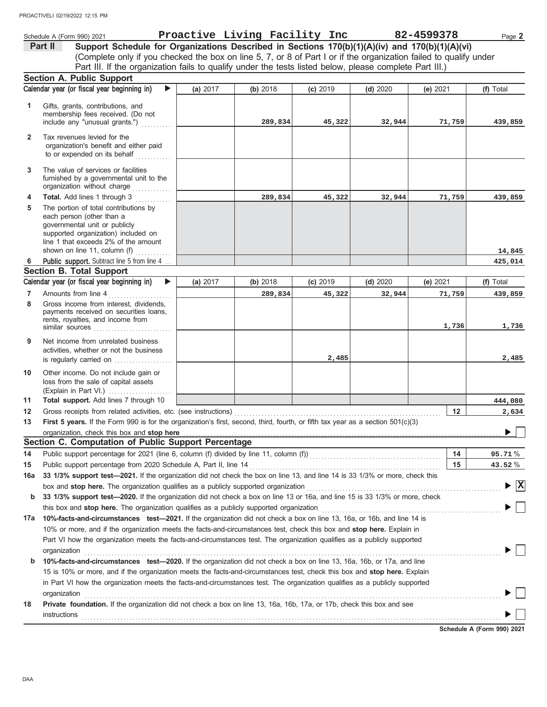|                | Schedule A (Form 990) 2021<br>Support Schedule for Organizations Described in Sections 170(b)(1)(A)(iv) and 170(b)(1)(A)(vi)<br>Part II                                                                                                          |          | Proactive Living Facility Inc 82-4599378 |          |          |                  | Page 2                                 |
|----------------|--------------------------------------------------------------------------------------------------------------------------------------------------------------------------------------------------------------------------------------------------|----------|------------------------------------------|----------|----------|------------------|----------------------------------------|
|                | (Complete only if you checked the box on line 5, 7, or 8 of Part I or if the organization failed to qualify under                                                                                                                                |          |                                          |          |          |                  |                                        |
|                | Part III. If the organization fails to qualify under the tests listed below, please complete Part III.)                                                                                                                                          |          |                                          |          |          |                  |                                        |
|                | <b>Section A. Public Support</b><br>Calendar year (or fiscal year beginning in)<br>$\blacktriangleright$                                                                                                                                         |          |                                          |          |          |                  |                                        |
|                |                                                                                                                                                                                                                                                  | (a) 2017 | (b) 2018                                 | (c) 2019 | (d) 2020 | (e) 2021         | (f) Total                              |
| 1              | Gifts, grants, contributions, and<br>membership fees received. (Do not<br>include any "unusual grants.")                                                                                                                                         |          | 289,834                                  | 45,322   | 32,944   | 71,759           | 439,859                                |
| $\overline{2}$ | Tax revenues levied for the<br>organization's benefit and either paid<br>to or expended on its behalf                                                                                                                                            |          |                                          |          |          |                  |                                        |
| 3              | The value of services or facilities<br>furnished by a governmental unit to the<br>organization without charge                                                                                                                                    |          |                                          |          |          |                  |                                        |
| 4              | Total. Add lines 1 through 3                                                                                                                                                                                                                     |          | 289,834                                  | 45,322   | 32,944   | 71,759           | 439,859                                |
| 5              | The portion of total contributions by<br>each person (other than a<br>governmental unit or publicly<br>supported organization) included on<br>line 1 that exceeds 2% of the amount<br>shown on line 11, column (f) $\ldots$                      |          |                                          |          |          |                  | 14,845                                 |
| 6              | <b>Public support.</b> Subtract line 5 from line 4.                                                                                                                                                                                              |          |                                          |          |          |                  | 425,014                                |
|                | <b>Section B. Total Support</b>                                                                                                                                                                                                                  |          |                                          |          |          |                  |                                        |
|                | Calendar year (or fiscal year beginning in)<br>$\blacktriangleright$                                                                                                                                                                             | (a) 2017 | (b) 2018                                 | (c) 2019 | (d) 2020 | (e) $2021$       | (f) Total                              |
| 7              | Amounts from line 4                                                                                                                                                                                                                              |          | 289,834                                  | 45,322   | 32,944   | 71,759           | 439,859                                |
| 8              | Gross income from interest, dividends,<br>payments received on securities loans,<br>rents, royalties, and income from<br>similar sources                                                                                                         |          |                                          |          |          | 1,736            | 1,736                                  |
| 9              | Net income from unrelated business<br>activities, whether or not the business<br>is regularly carried on                                                                                                                                         |          |                                          | 2,485    |          |                  | 2,485                                  |
| 10             | Other income. Do not include gain or<br>loss from the sale of capital assets<br>(Explain in Part VI.)                                                                                                                                            |          |                                          |          |          |                  |                                        |
| 11             | Total support. Add lines 7 through 10                                                                                                                                                                                                            |          |                                          |          |          |                  | 444,080                                |
| 12             | Gross receipts from related activities, etc. (see instructions)                                                                                                                                                                                  |          |                                          |          |          | 12 <sup>12</sup> | 2,634                                  |
| 13             | First 5 years. If the Form 990 is for the organization's first, second, third, fourth, or fifth tax year as a section 501(c)(3)                                                                                                                  |          |                                          |          |          |                  |                                        |
|                | organization, check this box and stop here                                                                                                                                                                                                       |          |                                          |          |          |                  |                                        |
|                | Section C. Computation of Public Support Percentage                                                                                                                                                                                              |          |                                          |          |          |                  |                                        |
| 14             | Public support percentage for 2021 (line 6, column (f) divided by line 11, column (f)) [[[[[[[[[[[[[[[[[[[[[[                                                                                                                                    |          |                                          |          |          | 14               | 95.71%                                 |
| 15             | Public support percentage from 2020 Schedule A, Part II, line 14                                                                                                                                                                                 |          |                                          |          |          | 15               | 43.52%                                 |
| 16a            | 33 1/3% support test-2021. If the organization did not check the box on line 13, and line 14 is 33 1/3% or more, check this                                                                                                                      |          |                                          |          |          |                  | $\blacktriangleright \boxed{\text{X}}$ |
|                | box and stop here. The organization qualifies as a publicly supported organization<br>33 1/3% support test-2020. If the organization did not check a box on line 13 or 16a, and line 15 is 33 1/3% or more, check                                |          |                                          |          |          |                  |                                        |
| b              | this box and stop here. The organization qualifies as a publicly supported organization                                                                                                                                                          |          |                                          |          |          |                  |                                        |
| 17a            | 10%-facts-and-circumstances test-2021. If the organization did not check a box on line 13, 16a, or 16b, and line 14 is                                                                                                                           |          |                                          |          |          |                  |                                        |
|                | 10% or more, and if the organization meets the facts-and-circumstances test, check this box and stop here. Explain in<br>Part VI how the organization meets the facts-and-circumstances test. The organization qualifies as a publicly supported |          |                                          |          |          |                  |                                        |
|                | organization                                                                                                                                                                                                                                     |          |                                          |          |          |                  |                                        |
| b              | 10%-facts-and-circumstances test-2020. If the organization did not check a box on line 13, 16a, 16b, or 17a, and line                                                                                                                            |          |                                          |          |          |                  |                                        |
|                | 15 is 10% or more, and if the organization meets the facts-and-circumstances test, check this box and stop here. Explain                                                                                                                         |          |                                          |          |          |                  |                                        |
|                | in Part VI how the organization meets the facts-and-circumstances test. The organization qualifies as a publicly supported                                                                                                                       |          |                                          |          |          |                  |                                        |
|                | organization                                                                                                                                                                                                                                     |          |                                          |          |          |                  |                                        |
| 18             | Private foundation. If the organization did not check a box on line 13, 16a, 16b, 17a, or 17b, check this box and see<br>instructions                                                                                                            |          |                                          |          |          |                  |                                        |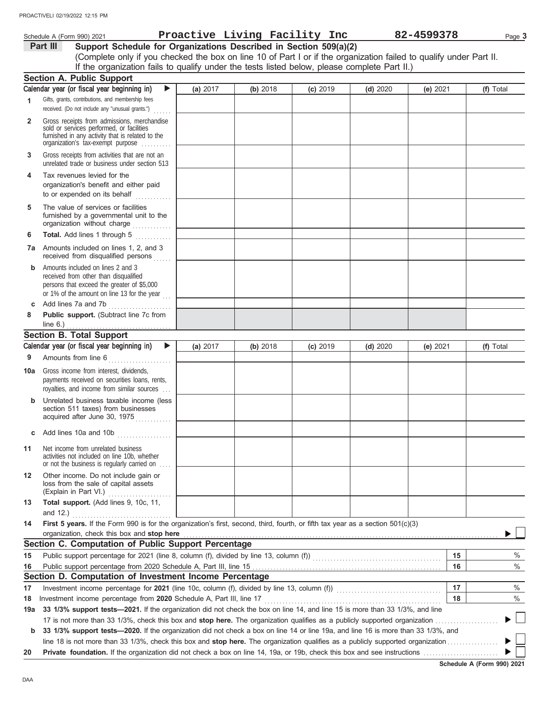|                                                                                                                                             | Schedule A (Form 990) 2021                                                                                                                                                                                                                                                                                                                |          | Proactive Living Facility Inc |          |            | 82-4599378 | Page 3    |
|---------------------------------------------------------------------------------------------------------------------------------------------|-------------------------------------------------------------------------------------------------------------------------------------------------------------------------------------------------------------------------------------------------------------------------------------------------------------------------------------------|----------|-------------------------------|----------|------------|------------|-----------|
|                                                                                                                                             | Support Schedule for Organizations Described in Section 509(a)(2)<br>Part III                                                                                                                                                                                                                                                             |          |                               |          |            |            |           |
|                                                                                                                                             | (Complete only if you checked the box on line 10 of Part I or if the organization failed to qualify under Part II.                                                                                                                                                                                                                        |          |                               |          |            |            |           |
|                                                                                                                                             | If the organization fails to qualify under the tests listed below, please complete Part II.)                                                                                                                                                                                                                                              |          |                               |          |            |            |           |
|                                                                                                                                             | <b>Section A. Public Support</b>                                                                                                                                                                                                                                                                                                          |          |                               |          |            |            |           |
|                                                                                                                                             | Calendar year (or fiscal year beginning in)<br>▶                                                                                                                                                                                                                                                                                          | (a) 2017 | (b) 2018                      | (c) 2019 | $(d)$ 2020 | (e) 2021   | (f) Total |
| 1                                                                                                                                           | Gifts, grants, contributions, and membership fees<br>received. (Do not include any "unusual grants.")                                                                                                                                                                                                                                     |          |                               |          |            |            |           |
| $\mathbf{2}$                                                                                                                                | Gross receipts from admissions, merchandise<br>sold or services performed, or facilities<br>furnished in any activity that is related to the<br>organization's tax-exempt purpose                                                                                                                                                         |          |                               |          |            |            |           |
| 3                                                                                                                                           | Gross receipts from activities that are not an<br>unrelated trade or business under section 513                                                                                                                                                                                                                                           |          |                               |          |            |            |           |
| 4                                                                                                                                           | Tax revenues levied for the<br>organization's benefit and either paid<br>to or expended on its behalf<br>in de la provincia de la contrata de la contrata de la contrata de la contrata de la contrata de la contrata d<br>La contrata de la contrata de la contrata de la contrata de la contrata de la contrata de la contrata de la co |          |                               |          |            |            |           |
| 5                                                                                                                                           | The value of services or facilities<br>furnished by a governmental unit to the<br>organization without charge                                                                                                                                                                                                                             |          |                               |          |            |            |           |
| 6                                                                                                                                           | Total. Add lines 1 through 5                                                                                                                                                                                                                                                                                                              |          |                               |          |            |            |           |
| 7a                                                                                                                                          | Amounts included on lines 1, 2, and 3<br>received from disqualified persons                                                                                                                                                                                                                                                               |          |                               |          |            |            |           |
| b                                                                                                                                           | Amounts included on lines 2 and 3<br>received from other than disqualified<br>persons that exceed the greater of \$5,000<br>or 1% of the amount on line 13 for the year $\ldots$                                                                                                                                                          |          |                               |          |            |            |           |
| c                                                                                                                                           | Add lines 7a and 7b                                                                                                                                                                                                                                                                                                                       |          |                               |          |            |            |           |
| 8                                                                                                                                           | Public support. (Subtract line 7c from<br>line $6.$ )                                                                                                                                                                                                                                                                                     |          |                               |          |            |            |           |
|                                                                                                                                             | <b>Section B. Total Support</b>                                                                                                                                                                                                                                                                                                           |          |                               |          |            |            |           |
|                                                                                                                                             | Calendar year (or fiscal year beginning in)<br>$\blacktriangleright$                                                                                                                                                                                                                                                                      | (a) 2017 | (b) 2018                      | (c) 2019 | $(d)$ 2020 | (e) 2021   | (f) Total |
| 9                                                                                                                                           | Amounts from line 6                                                                                                                                                                                                                                                                                                                       |          |                               |          |            |            |           |
| 10a                                                                                                                                         | Gross income from interest, dividends,<br>payments received on securities loans, rents,<br>royalties, and income from similar sources                                                                                                                                                                                                     |          |                               |          |            |            |           |
| b                                                                                                                                           | Unrelated business taxable income (less<br>section 511 taxes) from businesses<br>acquired after June 30, 1975                                                                                                                                                                                                                             |          |                               |          |            |            |           |
| c                                                                                                                                           | Add lines 10a and 10b                                                                                                                                                                                                                                                                                                                     |          |                               |          |            |            |           |
| 11                                                                                                                                          | Net income from unrelated business<br>activities not included on line 10b, whether<br>or not the business is regularly carried on                                                                                                                                                                                                         |          |                               |          |            |            |           |
| 12                                                                                                                                          | Other income. Do not include gain or<br>loss from the sale of capital assets<br>(Explain in Part VI.)                                                                                                                                                                                                                                     |          |                               |          |            |            |           |
| 13                                                                                                                                          | Total support. (Add lines 9, 10c, 11,                                                                                                                                                                                                                                                                                                     |          |                               |          |            |            |           |
|                                                                                                                                             | and 12.)<br>First 5 years. If the Form 990 is for the organization's first, second, third, fourth, or fifth tax year as a section 501(c)(3)                                                                                                                                                                                               |          |                               |          |            |            |           |
| 14                                                                                                                                          | organization, check this box and stop here                                                                                                                                                                                                                                                                                                |          |                               |          |            |            |           |
|                                                                                                                                             | Section C. Computation of Public Support Percentage                                                                                                                                                                                                                                                                                       |          |                               |          |            |            |           |
| 15                                                                                                                                          |                                                                                                                                                                                                                                                                                                                                           |          |                               |          |            | 15         | %         |
| 16                                                                                                                                          |                                                                                                                                                                                                                                                                                                                                           |          |                               |          |            | 16         | $\%$      |
|                                                                                                                                             | Section D. Computation of Investment Income Percentage                                                                                                                                                                                                                                                                                    |          |                               |          |            |            |           |
| 17                                                                                                                                          |                                                                                                                                                                                                                                                                                                                                           |          |                               |          |            | 17         | %         |
| Investment income percentage for 2021 (line 10c, column (f), divided by line 13, column (f)) contain the percentage of the line<br>18<br>18 |                                                                                                                                                                                                                                                                                                                                           |          |                               |          |            |            | %         |
| 19a                                                                                                                                         | 33 1/3% support tests-2021. If the organization did not check the box on line 14, and line 15 is more than 33 1/3%, and line                                                                                                                                                                                                              |          |                               |          |            |            |           |
|                                                                                                                                             |                                                                                                                                                                                                                                                                                                                                           |          |                               |          |            |            |           |
| b                                                                                                                                           | 33 1/3% support tests-2020. If the organization did not check a box on line 14 or line 19a, and line 16 is more than 33 1/3%, and                                                                                                                                                                                                         |          |                               |          |            |            |           |
|                                                                                                                                             | line 18 is not more than 33 1/3%, check this box and stop here. The organization qualifies as a publicly supported organization                                                                                                                                                                                                           |          |                               |          |            |            |           |
| 20                                                                                                                                          |                                                                                                                                                                                                                                                                                                                                           |          |                               |          |            |            |           |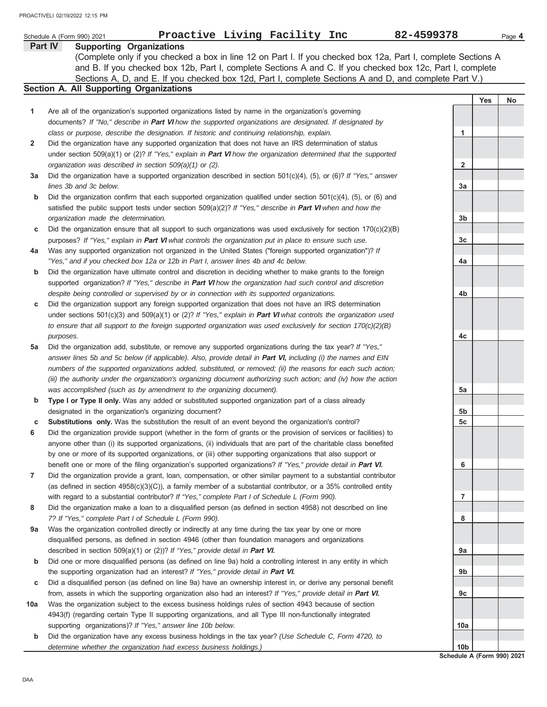|              | Proactive Living Facility Inc<br>82-4599378<br>Schedule A (Form 990) 2021                                                                                                                                                                                                                                                             |                 |            | Page 4 |
|--------------|---------------------------------------------------------------------------------------------------------------------------------------------------------------------------------------------------------------------------------------------------------------------------------------------------------------------------------------|-----------------|------------|--------|
|              | <b>Supporting Organizations</b><br>Part IV                                                                                                                                                                                                                                                                                            |                 |            |        |
|              | (Complete only if you checked a box in line 12 on Part I. If you checked box 12a, Part I, complete Sections A<br>and B. If you checked box 12b, Part I, complete Sections A and C. If you checked box 12c, Part I, complete<br>Sections A, D, and E. If you checked box 12d, Part I, complete Sections A and D, and complete Part V.) |                 |            |        |
|              | <b>Section A. All Supporting Organizations</b>                                                                                                                                                                                                                                                                                        |                 |            |        |
|              |                                                                                                                                                                                                                                                                                                                                       |                 | <b>Yes</b> |        |
|              |                                                                                                                                                                                                                                                                                                                                       |                 |            | No     |
| 1            | Are all of the organization's supported organizations listed by name in the organization's governing<br>documents? If "No," describe in Part VI how the supported organizations are designated. If designated by                                                                                                                      |                 |            |        |
|              | class or purpose, describe the designation. If historic and continuing relationship, explain.                                                                                                                                                                                                                                         | 1               |            |        |
| $\mathbf{2}$ | Did the organization have any supported organization that does not have an IRS determination of status                                                                                                                                                                                                                                |                 |            |        |
|              | under section 509(a)(1) or (2)? If "Yes," explain in <b>Part VI</b> how the organization determined that the supported                                                                                                                                                                                                                |                 |            |        |
|              | organization was described in section 509(a)(1) or (2).                                                                                                                                                                                                                                                                               | $\mathbf{2}$    |            |        |
| За           | Did the organization have a supported organization described in section $501(c)(4)$ , (5), or (6)? If "Yes," answer                                                                                                                                                                                                                   |                 |            |        |
|              | lines 3b and 3c below.                                                                                                                                                                                                                                                                                                                | 3a              |            |        |
| b            | Did the organization confirm that each supported organization qualified under section $501(c)(4)$ , (5), or (6) and                                                                                                                                                                                                                   |                 |            |        |
|              | satisfied the public support tests under section $509(a)(2)?$ If "Yes," describe in <b>Part VI</b> when and how the                                                                                                                                                                                                                   |                 |            |        |
|              | organization made the determination.                                                                                                                                                                                                                                                                                                  | 3b              |            |        |
| C            | Did the organization ensure that all support to such organizations was used exclusively for section $170(c)(2)(B)$                                                                                                                                                                                                                    |                 |            |        |
|              | purposes? If "Yes," explain in Part VI what controls the organization put in place to ensure such use.                                                                                                                                                                                                                                | 3c              |            |        |
| 4a           | Was any supported organization not organized in the United States ("foreign supported organization")? If                                                                                                                                                                                                                              |                 |            |        |
|              | "Yes," and if you checked box 12a or 12b in Part I, answer lines 4b and 4c below.                                                                                                                                                                                                                                                     | 4a              |            |        |
| b            | Did the organization have ultimate control and discretion in deciding whether to make grants to the foreign                                                                                                                                                                                                                           |                 |            |        |
|              | supported organization? If "Yes," describe in Part VI how the organization had such control and discretion                                                                                                                                                                                                                            |                 |            |        |
|              | despite being controlled or supervised by or in connection with its supported organizations.                                                                                                                                                                                                                                          | 4b              |            |        |
| C            | Did the organization support any foreign supported organization that does not have an IRS determination                                                                                                                                                                                                                               |                 |            |        |
|              | under sections 501(c)(3) and 509(a)(1) or (2)? If "Yes," explain in <b>Part VI</b> what controls the organization used                                                                                                                                                                                                                |                 |            |        |
|              | to ensure that all support to the foreign supported organization was used exclusively for section $170(c)(2)(B)$                                                                                                                                                                                                                      |                 |            |        |
|              | purposes.                                                                                                                                                                                                                                                                                                                             | 4c              |            |        |
| 5a           | Did the organization add, substitute, or remove any supported organizations during the tax year? If "Yes,"                                                                                                                                                                                                                            |                 |            |        |
|              | answer lines 5b and 5c below (if applicable). Also, provide detail in Part VI, including (i) the names and EIN                                                                                                                                                                                                                        |                 |            |        |
|              | numbers of the supported organizations added, substituted, or removed; (ii) the reasons for each such action;                                                                                                                                                                                                                         |                 |            |        |
|              | (iii) the authority under the organization's organizing document authorizing such action; and (iv) how the action                                                                                                                                                                                                                     |                 |            |        |
|              | was accomplished (such as by amendment to the organizing document).                                                                                                                                                                                                                                                                   | 5a              |            |        |
| b            | Type I or Type II only. Was any added or substituted supported organization part of a class already                                                                                                                                                                                                                                   |                 |            |        |
|              | designated in the organization's organizing document?                                                                                                                                                                                                                                                                                 | 5b              |            |        |
| С            | Substitutions only. Was the substitution the result of an event beyond the organization's control?                                                                                                                                                                                                                                    | 5c              |            |        |
| 6            | Did the organization provide support (whether in the form of grants or the provision of services or facilities) to                                                                                                                                                                                                                    |                 |            |        |
|              | anyone other than (i) its supported organizations, (ii) individuals that are part of the charitable class benefited                                                                                                                                                                                                                   |                 |            |        |
|              | by one or more of its supported organizations, or (iii) other supporting organizations that also support or                                                                                                                                                                                                                           |                 |            |        |
|              | benefit one or more of the filing organization's supported organizations? If "Yes," provide detail in Part VI.                                                                                                                                                                                                                        | 6               |            |        |
| 7            | Did the organization provide a grant, loan, compensation, or other similar payment to a substantial contributor                                                                                                                                                                                                                       |                 |            |        |
|              | (as defined in section 4958(c)(3)(C)), a family member of a substantial contributor, or a 35% controlled entity                                                                                                                                                                                                                       |                 |            |        |
|              | with regard to a substantial contributor? If "Yes," complete Part I of Schedule L (Form 990).                                                                                                                                                                                                                                         | 7               |            |        |
| 8            | Did the organization make a loan to a disqualified person (as defined in section 4958) not described on line                                                                                                                                                                                                                          |                 |            |        |
|              | 7? If "Yes," complete Part I of Schedule L (Form 990).                                                                                                                                                                                                                                                                                | 8               |            |        |
| 9а           | Was the organization controlled directly or indirectly at any time during the tax year by one or more                                                                                                                                                                                                                                 |                 |            |        |
|              | disqualified persons, as defined in section 4946 (other than foundation managers and organizations                                                                                                                                                                                                                                    |                 |            |        |
|              | described in section 509(a)(1) or (2))? If "Yes," provide detail in Part VI.                                                                                                                                                                                                                                                          | 9a              |            |        |
| b            | Did one or more disqualified persons (as defined on line 9a) hold a controlling interest in any entity in which                                                                                                                                                                                                                       |                 |            |        |
|              | the supporting organization had an interest? If "Yes," provide detail in Part VI.                                                                                                                                                                                                                                                     | 9b              |            |        |
| С            | Did a disqualified person (as defined on line 9a) have an ownership interest in, or derive any personal benefit                                                                                                                                                                                                                       |                 |            |        |
|              | from, assets in which the supporting organization also had an interest? If "Yes," provide detail in Part VI.                                                                                                                                                                                                                          | 9с              |            |        |
| 10a          | Was the organization subject to the excess business holdings rules of section 4943 because of section                                                                                                                                                                                                                                 |                 |            |        |
|              | 4943(f) (regarding certain Type II supporting organizations, and all Type III non-functionally integrated                                                                                                                                                                                                                             |                 |            |        |
|              | supporting organizations)? If "Yes," answer line 10b below.                                                                                                                                                                                                                                                                           | 10a             |            |        |
| b            | Did the organization have any excess business holdings in the tax year? (Use Schedule C, Form 4720, to                                                                                                                                                                                                                                |                 |            |        |
|              | determine whether the organization had excess business holdings.)                                                                                                                                                                                                                                                                     | 10 <sub>b</sub> |            |        |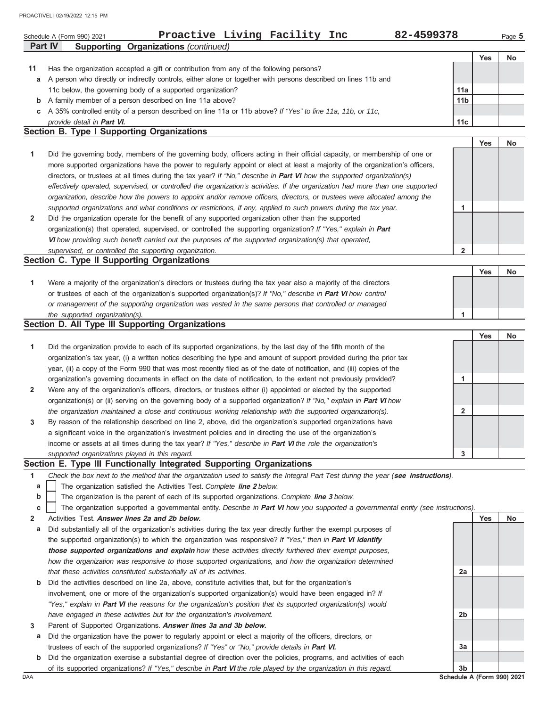|              | PROACTIVELI 02/19/2022 12:15 PM                                                                                                          |                         |            |        |
|--------------|------------------------------------------------------------------------------------------------------------------------------------------|-------------------------|------------|--------|
|              | Proactive Living Facility Inc<br>82-4599378<br>Schedule A (Form 990) 2021<br><b>Supporting Organizations (continued)</b><br>Part IV      |                         |            | Page 5 |
|              |                                                                                                                                          |                         | Yes        | No     |
| 11           | Has the organization accepted a gift or contribution from any of the following persons?                                                  |                         |            |        |
| а            | A person who directly or indirectly controls, either alone or together with persons described on lines 11b and                           |                         |            |        |
|              | 11c below, the governing body of a supported organization?                                                                               | 11a                     |            |        |
| b            | A family member of a person described on line 11a above?                                                                                 | 11 <sub>b</sub>         |            |        |
| С            | A 35% controlled entity of a person described on line 11a or 11b above? If "Yes" to line 11a, 11b, or 11c,                               |                         |            |        |
|              | provide detail in Part VI.                                                                                                               | 11c                     |            |        |
|              | Section B. Type I Supporting Organizations                                                                                               |                         |            |        |
|              |                                                                                                                                          |                         | Yes        | No     |
| 1            | Did the governing body, members of the governing body, officers acting in their official capacity, or membership of one or               |                         |            |        |
|              | more supported organizations have the power to regularly appoint or elect at least a majority of the organization's officers,            |                         |            |        |
|              | directors, or trustees at all times during the tax year? If "No," describe in <b>Part VI</b> how the supported organization(s)           |                         |            |        |
|              | effectively operated, supervised, or controlled the organization's activities. If the organization had more than one supported           |                         |            |        |
|              | organization, describe how the powers to appoint and/or remove officers, directors, or trustees were allocated among the                 |                         |            |        |
|              | supported organizations and what conditions or restrictions, if any, applied to such powers during the tax year.                         | 1                       |            |        |
| $\mathbf{2}$ | Did the organization operate for the benefit of any supported organization other than the supported                                      |                         |            |        |
|              | organization(s) that operated, supervised, or controlled the supporting organization? If "Yes," explain in Part                          |                         |            |        |
|              | VI how providing such benefit carried out the purposes of the supported organization(s) that operated,                                   |                         |            |        |
|              | supervised, or controlled the supporting organization.                                                                                   | $\overline{\mathbf{2}}$ |            |        |
|              | Section C. Type II Supporting Organizations                                                                                              |                         |            |        |
|              |                                                                                                                                          |                         | Yes        | No     |
| 1            | Were a majority of the organization's directors or trustees during the tax year also a majority of the directors                         |                         |            |        |
|              | or trustees of each of the organization's supported organization(s)? If "No," describe in Part VI how control                            |                         |            |        |
|              | or management of the supporting organization was vested in the same persons that controlled or managed                                   |                         |            |        |
|              | the supported organization(s).                                                                                                           | 1                       |            |        |
|              | Section D. All Type III Supporting Organizations                                                                                         |                         |            |        |
|              |                                                                                                                                          |                         | Yes        | No     |
| 1            | Did the organization provide to each of its supported organizations, by the last day of the fifth month of the                           |                         |            |        |
|              | organization's tax year, (i) a written notice describing the type and amount of support provided during the prior tax                    |                         |            |        |
|              | year, (ii) a copy of the Form 990 that was most recently filed as of the date of notification, and (iii) copies of the                   |                         |            |        |
|              | organization's governing documents in effect on the date of notification, to the extent not previously provided?                         | 1                       |            |        |
| 2            | Were any of the organization's officers, directors, or trustees either (i) appointed or elected by the supported                         |                         |            |        |
|              | organization(s) or (ii) serving on the governing body of a supported organization? If "No," explain in Part VI how                       |                         |            |        |
|              | the organization maintained a close and continuous working relationship with the supported organization(s).                              | $\overline{\mathbf{2}}$ |            |        |
| 3            | By reason of the relationship described on line 2, above, did the organization's supported organizations have                            |                         |            |        |
|              | a significant voice in the organization's investment policies and in directing the use of the organization's                             |                         |            |        |
|              | income or assets at all times during the tax year? If "Yes," describe in Part VI the role the organization's                             |                         |            |        |
|              | supported organizations played in this regard.                                                                                           | 3                       |            |        |
|              | Section E. Type III Functionally Integrated Supporting Organizations                                                                     |                         |            |        |
| 1            | Check the box next to the method that the organization used to satisfy the Integral Part Test during the year (see instructions).        |                         |            |        |
| а            | The organization satisfied the Activities Test. Complete line 2 below.                                                                   |                         |            |        |
| b            | The organization is the parent of each of its supported organizations. Complete line 3 below.                                            |                         |            |        |
| c            | The organization supported a governmental entity. Describe in <b>Part VI</b> how you supported a governmental entity (see instructions). |                         |            |        |
| 2            | Activities Test. Answer lines 2a and 2b below.                                                                                           |                         | <b>Yes</b> | No     |
|              | Did substantially all of the organization's activities during the tax year directly further the exempt purposes of                       |                         |            |        |
| а            | the supported organization(s) to which the organization was responsive? If "Yes," then in Part VI identify                               |                         |            |        |
|              |                                                                                                                                          |                         |            |        |
|              | those supported organizations and explain how these activities directly furthered their exempt purposes,                                 |                         |            |        |
|              | how the organization was responsive to those supported organizations, and how the organization determined                                |                         |            |        |
|              | that these activities constituted substantially all of its activities.                                                                   | 2a                      |            |        |
| b            | Did the activities described on line 2a, above, constitute activities that, but for the organization's                                   |                         |            |        |
|              | involvement, one or more of the organization's supported organization(s) would have been engaged in? If                                  |                         |            |        |
|              | "Yes," explain in Part VI the reasons for the organization's position that its supported organization(s) would                           |                         |            |        |
|              | have engaged in these activities but for the organization's involvement.                                                                 | 2b                      |            |        |
| 3            | Parent of Supported Organizations. Answer lines 3a and 3b below.                                                                         |                         |            |        |
| а            | Did the organization have the power to regularly appoint or elect a majority of the officers, directors, or                              |                         |            |        |
|              | trustees of each of the supported organizations? If "Yes" or "No," provide details in Part VI.                                           | За                      |            |        |
| b            | Did the organization exercise a substantial degree of direction over the policies, programs, and activities of each                      |                         |            |        |

of its supported organizations? *If "Yes," describe in* **Part VI** *the role played by the organization in this regard.*

DAA **Schedule A (Form 990) 2021** 

**3b**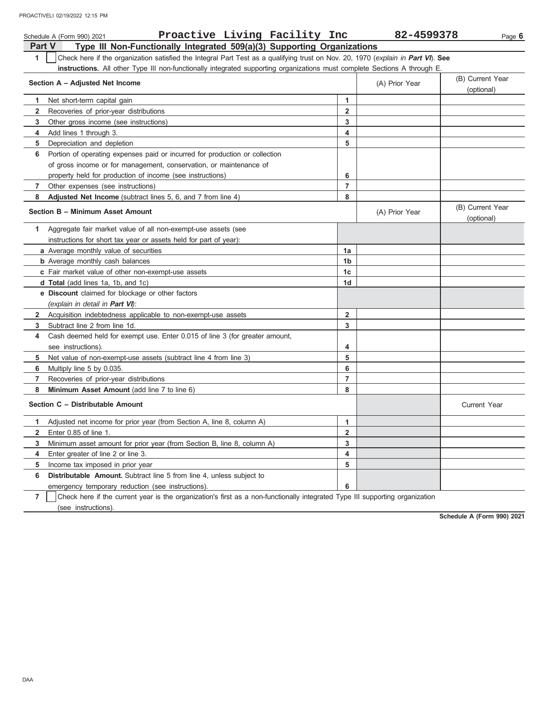PROACTIVELI 02/19/2022 12:15 PM

|                | Proactive Living Facility Inc<br>Schedule A (Form 990) 2021                                                                      |                | 82-4599378     | Page $6$                       |  |  |  |  |  |
|----------------|----------------------------------------------------------------------------------------------------------------------------------|----------------|----------------|--------------------------------|--|--|--|--|--|
|                | Part V<br>Type III Non-Functionally Integrated 509(a)(3) Supporting Organizations                                                |                |                |                                |  |  |  |  |  |
| $\mathbf{1}$   | Check here if the organization satisfied the Integral Part Test as a qualifying trust on Nov. 20, 1970 (explain in Part VI). See |                |                |                                |  |  |  |  |  |
|                | instructions. All other Type III non-functionally integrated supporting organizations must complete Sections A through E.        |                |                |                                |  |  |  |  |  |
|                | Section A - Adjusted Net Income                                                                                                  |                | (A) Prior Year | (B) Current Year<br>(optional) |  |  |  |  |  |
| 1.             | Net short-term capital gain                                                                                                      | 1              |                |                                |  |  |  |  |  |
| $\mathbf{2}$   | Recoveries of prior-year distributions                                                                                           | $\mathbf{2}$   |                |                                |  |  |  |  |  |
| 3              | Other gross income (see instructions)                                                                                            | 3              |                |                                |  |  |  |  |  |
| 4              | Add lines 1 through 3.                                                                                                           | 4              |                |                                |  |  |  |  |  |
| 5              | Depreciation and depletion                                                                                                       | 5              |                |                                |  |  |  |  |  |
| 6              | Portion of operating expenses paid or incurred for production or collection                                                      |                |                |                                |  |  |  |  |  |
|                | of gross income or for management, conservation, or maintenance of                                                               |                |                |                                |  |  |  |  |  |
|                | property held for production of income (see instructions)                                                                        | 6              |                |                                |  |  |  |  |  |
| $\mathbf{7}$   | Other expenses (see instructions)                                                                                                | $\overline{7}$ |                |                                |  |  |  |  |  |
| 8              | Adjusted Net Income (subtract lines 5, 6, and 7 from line 4)                                                                     | 8              |                |                                |  |  |  |  |  |
|                | Section B - Minimum Asset Amount                                                                                                 |                | (A) Prior Year | (B) Current Year<br>(optional) |  |  |  |  |  |
| 1              | Aggregate fair market value of all non-exempt-use assets (see                                                                    |                |                |                                |  |  |  |  |  |
|                | instructions for short tax year or assets held for part of year):                                                                |                |                |                                |  |  |  |  |  |
|                | a Average monthly value of securities                                                                                            | 1a             |                |                                |  |  |  |  |  |
|                | <b>b</b> Average monthly cash balances                                                                                           | 1 <sub>b</sub> |                |                                |  |  |  |  |  |
|                | c Fair market value of other non-exempt-use assets                                                                               | 1c             |                |                                |  |  |  |  |  |
|                | d Total (add lines 1a, 1b, and 1c)                                                                                               | 1d             |                |                                |  |  |  |  |  |
|                | e Discount claimed for blockage or other factors                                                                                 |                |                |                                |  |  |  |  |  |
|                | (explain in detail in <b>Part VI</b> ):                                                                                          |                |                |                                |  |  |  |  |  |
| $\mathbf{2}$   | Acquisition indebtedness applicable to non-exempt-use assets                                                                     | $\overline{2}$ |                |                                |  |  |  |  |  |
| 3              | Subtract line 2 from line 1d.                                                                                                    | 3              |                |                                |  |  |  |  |  |
| 4              | Cash deemed held for exempt use. Enter 0.015 of line 3 (for greater amount,                                                      |                |                |                                |  |  |  |  |  |
|                | see instructions).                                                                                                               | 4              |                |                                |  |  |  |  |  |
| 5              | Net value of non-exempt-use assets (subtract line 4 from line 3)                                                                 | 5              |                |                                |  |  |  |  |  |
| 6              | Multiply line 5 by 0.035.                                                                                                        | 6              |                |                                |  |  |  |  |  |
| 7              | Recoveries of prior-year distributions                                                                                           | $\overline{7}$ |                |                                |  |  |  |  |  |
| 8              | Minimum Asset Amount (add line 7 to line 6)                                                                                      | 8              |                |                                |  |  |  |  |  |
|                | Section C - Distributable Amount                                                                                                 |                |                | <b>Current Year</b>            |  |  |  |  |  |
|                | Adjusted net income for prior year (from Section A, line 8, column A)                                                            | 1              |                |                                |  |  |  |  |  |
| $\mathbf{2}$   | Enter 0.85 of line 1.                                                                                                            | $\mathbf{2}$   |                |                                |  |  |  |  |  |
| 3              | Minimum asset amount for prior year (from Section B, line 8, column A)                                                           | 3              |                |                                |  |  |  |  |  |
| 4              | Enter greater of line 2 or line 3.                                                                                               | 4              |                |                                |  |  |  |  |  |
| 5              | Income tax imposed in prior year                                                                                                 | 5              |                |                                |  |  |  |  |  |
| 6              | Distributable Amount. Subtract line 5 from line 4, unless subject to                                                             |                |                |                                |  |  |  |  |  |
|                | emergency temporary reduction (see instructions).                                                                                | 6              |                |                                |  |  |  |  |  |
| $\overline{7}$ | Check here if the current year is the organization's first as a non-functionally integrated Type III supporting organization     |                |                |                                |  |  |  |  |  |

(see instructions).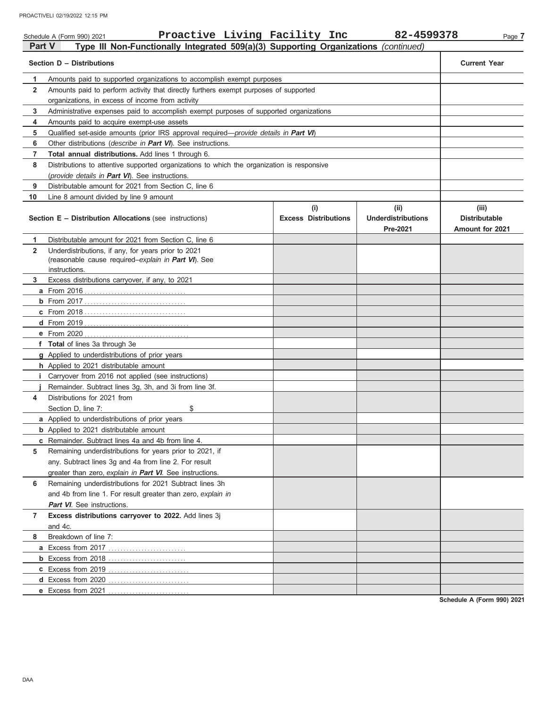|                | Proactive Living Facility Inc<br>Schedule A (Form 990) 2021                                                                 |                                    | 82-4599378                                    | Page 7                                                  |
|----------------|-----------------------------------------------------------------------------------------------------------------------------|------------------------------------|-----------------------------------------------|---------------------------------------------------------|
| <b>Part V</b>  | Type III Non-Functionally Integrated 509(a)(3) Supporting Organizations (continued)                                         |                                    |                                               |                                                         |
|                | Section D - Distributions                                                                                                   |                                    |                                               | <b>Current Year</b>                                     |
| 1              | Amounts paid to supported organizations to accomplish exempt purposes                                                       |                                    |                                               |                                                         |
| $\mathbf{2}$   | Amounts paid to perform activity that directly furthers exempt purposes of supported                                        |                                    |                                               |                                                         |
|                | organizations, in excess of income from activity                                                                            |                                    |                                               |                                                         |
| 3              | Administrative expenses paid to accomplish exempt purposes of supported organizations                                       |                                    |                                               |                                                         |
| 4              | Amounts paid to acquire exempt-use assets                                                                                   |                                    |                                               |                                                         |
| 5              | Qualified set-aside amounts (prior IRS approval required-provide details in Part VI)                                        |                                    |                                               |                                                         |
| 6              | Other distributions ( <i>describe in <b>Part VI</b></i> ). See instructions.                                                |                                    |                                               |                                                         |
| $\overline{7}$ | Total annual distributions. Add lines 1 through 6.                                                                          |                                    |                                               |                                                         |
| 8              | Distributions to attentive supported organizations to which the organization is responsive                                  |                                    |                                               |                                                         |
|                | (provide details in Part VI). See instructions.                                                                             |                                    |                                               |                                                         |
| 9              | Distributable amount for 2021 from Section C, line 6                                                                        |                                    |                                               |                                                         |
| 10             | Line 8 amount divided by line 9 amount                                                                                      |                                    |                                               |                                                         |
|                | <b>Section E - Distribution Allocations (see instructions)</b>                                                              | (i)<br><b>Excess Distributions</b> | (ii)<br><b>Underdistributions</b><br>Pre-2021 | (iii)<br><b>Distributable</b><br><b>Amount for 2021</b> |
| 1.             | Distributable amount for 2021 from Section C, line 6                                                                        |                                    |                                               |                                                         |
| $\overline{2}$ | Underdistributions, if any, for years prior to 2021<br>(reasonable cause required-explain in Part VI). See<br>instructions. |                                    |                                               |                                                         |
| 3              | Excess distributions carryover, if any, to 2021                                                                             |                                    |                                               |                                                         |
|                | <b>a</b> From 2016                                                                                                          |                                    |                                               |                                                         |
|                |                                                                                                                             |                                    |                                               |                                                         |
|                |                                                                                                                             |                                    |                                               |                                                         |
|                |                                                                                                                             |                                    |                                               |                                                         |
|                | e From 2020                                                                                                                 |                                    |                                               |                                                         |
|                | f Total of lines 3a through 3e                                                                                              |                                    |                                               |                                                         |
|                | g Applied to underdistributions of prior years                                                                              |                                    |                                               |                                                         |
|                | h Applied to 2021 distributable amount                                                                                      |                                    |                                               |                                                         |
|                | <i>i</i> Carryover from 2016 not applied (see instructions)                                                                 |                                    |                                               |                                                         |
|                | Remainder. Subtract lines 3g, 3h, and 3i from line 3f.                                                                      |                                    |                                               |                                                         |
| 4              | Distributions for 2021 from                                                                                                 |                                    |                                               |                                                         |
|                | Section D, line 7:<br>\$                                                                                                    |                                    |                                               |                                                         |
|                | a Applied to underdistributions of prior years                                                                              |                                    |                                               |                                                         |
|                | <b>b</b> Applied to 2021 distributable amount                                                                               |                                    |                                               |                                                         |
|                | c Remainder. Subtract lines 4a and 4b from line 4.                                                                          |                                    |                                               |                                                         |
| 5              | Remaining underdistributions for years prior to 2021, if                                                                    |                                    |                                               |                                                         |
|                | any. Subtract lines 3g and 4a from line 2. For result                                                                       |                                    |                                               |                                                         |
|                | greater than zero, explain in Part VI. See instructions.                                                                    |                                    |                                               |                                                         |
| 6              | Remaining underdistributions for 2021 Subtract lines 3h                                                                     |                                    |                                               |                                                         |
|                | and 4b from line 1. For result greater than zero, explain in                                                                |                                    |                                               |                                                         |
|                | <b>Part VI</b> . See instructions.                                                                                          |                                    |                                               |                                                         |
| 7              | Excess distributions carryover to 2022. Add lines 3j                                                                        |                                    |                                               |                                                         |
|                | and 4c.                                                                                                                     |                                    |                                               |                                                         |
| 8              | Breakdown of line 7:                                                                                                        |                                    |                                               |                                                         |
|                | a Excess from 2017.                                                                                                         |                                    |                                               |                                                         |
|                |                                                                                                                             |                                    |                                               |                                                         |
|                | c Excess from 2019                                                                                                          |                                    |                                               |                                                         |
|                | d Excess from 2020                                                                                                          |                                    |                                               |                                                         |
|                | e Excess from 2021                                                                                                          |                                    |                                               |                                                         |
|                |                                                                                                                             |                                    |                                               |                                                         |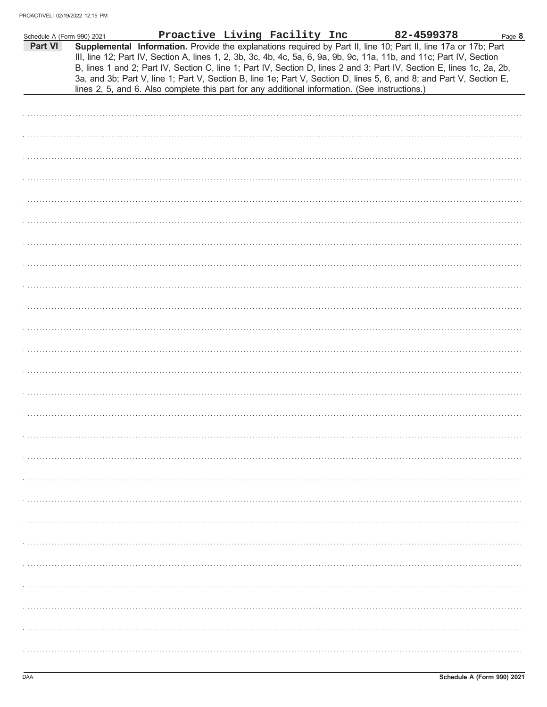PROACTIVELI 02/19/2022 12:15 PM

| Schedule A (Form 990) 2021 |                                                                                                | Proactive Living Facility Inc | 82-4599378                                                                                                                                                                                                                                                                                                                                                                                                                                                                                | Page 8 |
|----------------------------|------------------------------------------------------------------------------------------------|-------------------------------|-------------------------------------------------------------------------------------------------------------------------------------------------------------------------------------------------------------------------------------------------------------------------------------------------------------------------------------------------------------------------------------------------------------------------------------------------------------------------------------------|--------|
| Part VI                    |                                                                                                |                               | Supplemental Information. Provide the explanations required by Part II, line 10; Part II, line 17a or 17b; Part<br>III, line 12; Part IV, Section A, lines 1, 2, 3b, 3c, 4b, 4c, 5a, 6, 9a, 9b, 9c, 11a, 11b, and 11c; Part IV, Section<br>B, lines 1 and 2; Part IV, Section C, line 1; Part IV, Section D, lines 2 and 3; Part IV, Section E, lines 1c, 2a, 2b,<br>3a, and 3b; Part V, line 1; Part V, Section B, line 1e; Part V, Section D, lines 5, 6, and 8; and Part V, Section E, |        |
|                            | lines 2, 5, and 6. Also complete this part for any additional information. (See instructions.) |                               |                                                                                                                                                                                                                                                                                                                                                                                                                                                                                           |        |
|                            |                                                                                                |                               |                                                                                                                                                                                                                                                                                                                                                                                                                                                                                           |        |
|                            |                                                                                                |                               |                                                                                                                                                                                                                                                                                                                                                                                                                                                                                           |        |
|                            |                                                                                                |                               |                                                                                                                                                                                                                                                                                                                                                                                                                                                                                           |        |
|                            |                                                                                                |                               |                                                                                                                                                                                                                                                                                                                                                                                                                                                                                           |        |
|                            |                                                                                                |                               |                                                                                                                                                                                                                                                                                                                                                                                                                                                                                           |        |
|                            |                                                                                                |                               |                                                                                                                                                                                                                                                                                                                                                                                                                                                                                           |        |
|                            |                                                                                                |                               |                                                                                                                                                                                                                                                                                                                                                                                                                                                                                           |        |
|                            |                                                                                                |                               |                                                                                                                                                                                                                                                                                                                                                                                                                                                                                           |        |
|                            |                                                                                                |                               |                                                                                                                                                                                                                                                                                                                                                                                                                                                                                           |        |
|                            |                                                                                                |                               |                                                                                                                                                                                                                                                                                                                                                                                                                                                                                           |        |
|                            |                                                                                                |                               |                                                                                                                                                                                                                                                                                                                                                                                                                                                                                           |        |
|                            |                                                                                                |                               |                                                                                                                                                                                                                                                                                                                                                                                                                                                                                           |        |
|                            |                                                                                                |                               |                                                                                                                                                                                                                                                                                                                                                                                                                                                                                           |        |
|                            |                                                                                                |                               |                                                                                                                                                                                                                                                                                                                                                                                                                                                                                           |        |
|                            |                                                                                                |                               |                                                                                                                                                                                                                                                                                                                                                                                                                                                                                           |        |
|                            |                                                                                                |                               |                                                                                                                                                                                                                                                                                                                                                                                                                                                                                           |        |
|                            |                                                                                                |                               |                                                                                                                                                                                                                                                                                                                                                                                                                                                                                           |        |
|                            |                                                                                                |                               |                                                                                                                                                                                                                                                                                                                                                                                                                                                                                           |        |
|                            |                                                                                                |                               |                                                                                                                                                                                                                                                                                                                                                                                                                                                                                           |        |
|                            |                                                                                                |                               |                                                                                                                                                                                                                                                                                                                                                                                                                                                                                           |        |
|                            |                                                                                                |                               |                                                                                                                                                                                                                                                                                                                                                                                                                                                                                           |        |
|                            |                                                                                                |                               |                                                                                                                                                                                                                                                                                                                                                                                                                                                                                           |        |
|                            |                                                                                                |                               |                                                                                                                                                                                                                                                                                                                                                                                                                                                                                           |        |
|                            |                                                                                                |                               |                                                                                                                                                                                                                                                                                                                                                                                                                                                                                           |        |
|                            |                                                                                                |                               |                                                                                                                                                                                                                                                                                                                                                                                                                                                                                           |        |
|                            |                                                                                                |                               |                                                                                                                                                                                                                                                                                                                                                                                                                                                                                           |        |
|                            |                                                                                                |                               |                                                                                                                                                                                                                                                                                                                                                                                                                                                                                           |        |
|                            |                                                                                                |                               |                                                                                                                                                                                                                                                                                                                                                                                                                                                                                           |        |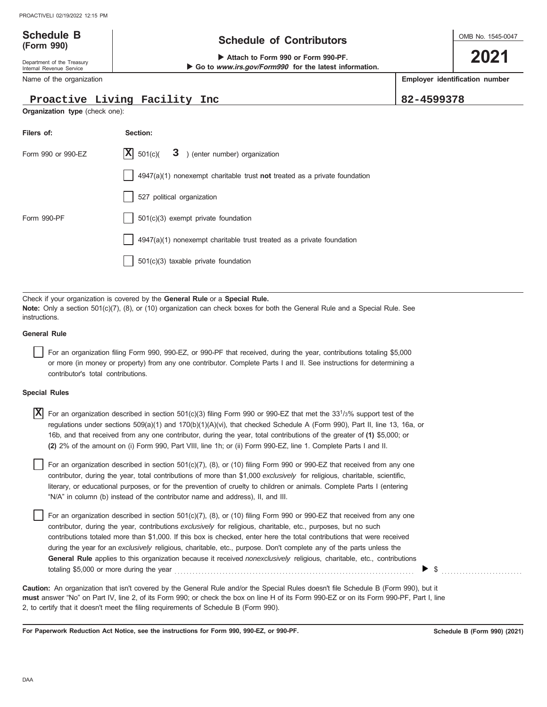#### OMB No. 1545-0047 Department of the Treasury Internal Revenue Service Name of the organization **2021 Schedule of Contributors Schedule B (Form 990) Attach to Form 990 or Form 990-PF. Employer identification number Organization type** (check one):  **Go to www.irs.gov/Form990 for the latest information.** Proactive Living Facility Inc **82-4599378**

| Filers of:         | Section:                                                                    |
|--------------------|-----------------------------------------------------------------------------|
| Form 990 or 990-EZ | $ \mathbf{X} $ 501(c)(<br>3 ) (enter number) organization                   |
|                    | $4947(a)(1)$ nonexempt charitable trust not treated as a private foundation |
|                    | 527 political organization                                                  |
| Form 990-PF        | 501(c)(3) exempt private foundation                                         |
|                    | $4947(a)(1)$ nonexempt charitable trust treated as a private foundation     |
|                    | 501(c)(3) taxable private foundation                                        |
|                    |                                                                             |

Check if your organization is covered by the **General Rule** or a **Special Rule. Note:** Only a section 501(c)(7), (8), or (10) organization can check boxes for both the General Rule and a Special Rule. See instructions.

### **General Rule**

For an organization filing Form 990, 990-EZ, or 990-PF that received, during the year, contributions totaling \$5,000 or more (in money or property) from any one contributor. Complete Parts I and II. See instructions for determining a contributor's total contributions.

#### **Special Rules**

 $\overline{\textbf{X}}$  For an organization described in section 501(c)(3) filing Form 990 or 990-EZ that met the 33<sup>1</sup>/3% support test of the regulations under sections 509(a)(1) and 170(b)(1)(A)(vi), that checked Schedule A (Form 990), Part II, line 13, 16a, or 16b, and that received from any one contributor, during the year, total contributions of the greater of **(1)** \$5,000; or **(2)** 2% of the amount on (i) Form 990, Part VIII, line 1h; or (ii) Form 990-EZ, line 1. Complete Parts I and II.

literary, or educational purposes, or for the prevention of cruelty to children or animals. Complete Parts I (entering For an organization described in section 501(c)(7), (8), or (10) filing Form 990 or 990-EZ that received from any one contributor, during the year, total contributions of more than \$1,000 *exclusively* for religious, charitable, scientific, "N/A" in column (b) instead of the contributor name and address), II, and III.

For an organization described in section 501(c)(7), (8), or (10) filing Form 990 or 990-EZ that received from any one contributor, during the year, contributions *exclusively* for religious, charitable, etc., purposes, but no such contributions totaled more than \$1,000. If this box is checked, enter here the total contributions that were received during the year for an *exclusively* religious, charitable, etc., purpose. Don't complete any of the parts unless the **General Rule** applies to this organization because it received *nonexclusively* religious, charitable, etc., contributions totaling \$5,000 or more during the year . . . . . . . . . . . . . . . . . . . . . . . . . . . . . . . . . . . . . . . . . . . . . . . . . . . . . . . . . . . . . . . . . . . . . . . . . . . . . . . . \$ . . . . . . . . . . . . . . . . . . . . . . . . . . .

**must** answer "No" on Part IV, line 2, of its Form 990; or check the box on line H of its Form 990-EZ or on its Form 990-PF, Part I, line 2, to certify that it doesn't meet the filing requirements of Schedule B (Form 990). **Caution:** An organization that isn't covered by the General Rule and/or the Special Rules doesn't file Schedule B (Form 990), but it

**For Paperwork Reduction Act Notice, see the instructions for Form 990, 990-EZ, or 990-PF.**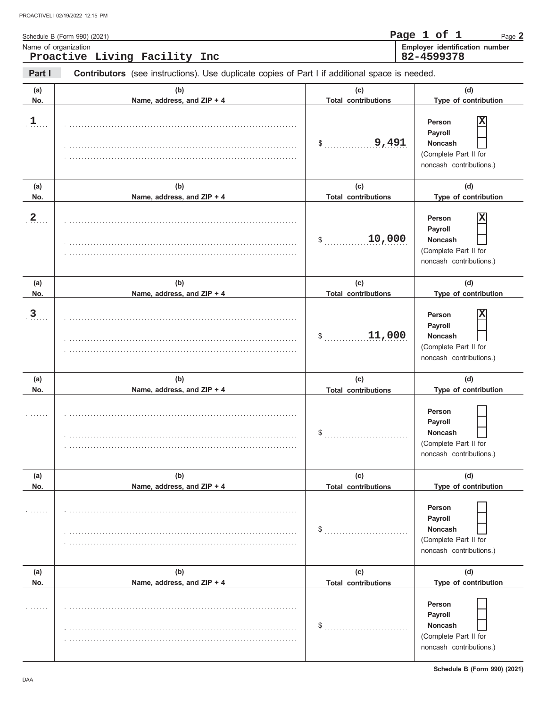| Name of organization | Schedule B (Form 990) (2021)<br>Proactive Living Facility Inc                                  |                                   | Page 1 of 1<br>Page 2<br>Employer identification number<br>82-4599378                          |
|----------------------|------------------------------------------------------------------------------------------------|-----------------------------------|------------------------------------------------------------------------------------------------|
| Part I               | Contributors (see instructions). Use duplicate copies of Part I if additional space is needed. |                                   |                                                                                                |
| (a)<br>No.           | (b)<br>Name, address, and ZIP + 4                                                              | (c)<br><b>Total contributions</b> | (d)<br>Type of contribution                                                                    |
| 1                    |                                                                                                | 9,491<br>\$                       | х<br>Person<br>Payroll<br><b>Noncash</b><br>(Complete Part II for<br>noncash contributions.)   |
| (a)<br>No.           | (b)<br>Name, address, and ZIP + 4                                                              | (c)<br><b>Total contributions</b> | (d)<br>Type of contribution                                                                    |
| $\mathbf{2}$         |                                                                                                | 10,000<br>\$                      | <b>Person</b><br>Payroll<br><b>Noncash</b><br>(Complete Part II for<br>noncash contributions.) |
| (a)<br>No.           | (b)<br>Name, address, and ZIP + 4                                                              | (c)<br><b>Total contributions</b> | (d)<br>Type of contribution                                                                    |
| 3                    |                                                                                                | 11,000<br>\$                      | X<br>Person<br>Payroll<br><b>Noncash</b><br>(Complete Part II for<br>noncash contributions.)   |
| (a)<br>No.           | (b)<br>Name, address, and ZIP + 4                                                              | (c)<br><b>Total contributions</b> | (d)<br>Type of contribution                                                                    |
|                      |                                                                                                | \$                                | Person<br>Payroll<br>Noncash<br>(Complete Part II for<br>noncash contributions.)               |
| (a)<br>No.           | (b)<br>Name, address, and ZIP + 4                                                              | (c)<br><b>Total contributions</b> | (d)<br>Type of contribution                                                                    |
|                      |                                                                                                | \$                                | Person<br>Payroll<br>Noncash<br>(Complete Part II for<br>noncash contributions.)               |
| (a)<br>No.           | (b)<br>Name, address, and ZIP + 4                                                              | (c)                               | (d)<br>Type of contribution                                                                    |
|                      |                                                                                                | <b>Total contributions</b><br>\$  | Person<br>Payroll<br>Noncash                                                                   |

. . . . . . . . . . . . . . . . . . . . . . . . . . . . . . . . . . . . . . . . . . . . . . . . . . . . . . . . . . . . . . . . . . . . . . . . . . . . . . . . . . . . . . . . . . . . . . . . . . . . . . . . . . . . . . . . . . . . . . . . . . . . . . . . . . . . . . . . . . . . . . . . . . . . . . . . . .

**Noncash**  $\mathcal{L}_{\mathcal{A}}$ (Complete Part II for noncash contributions.)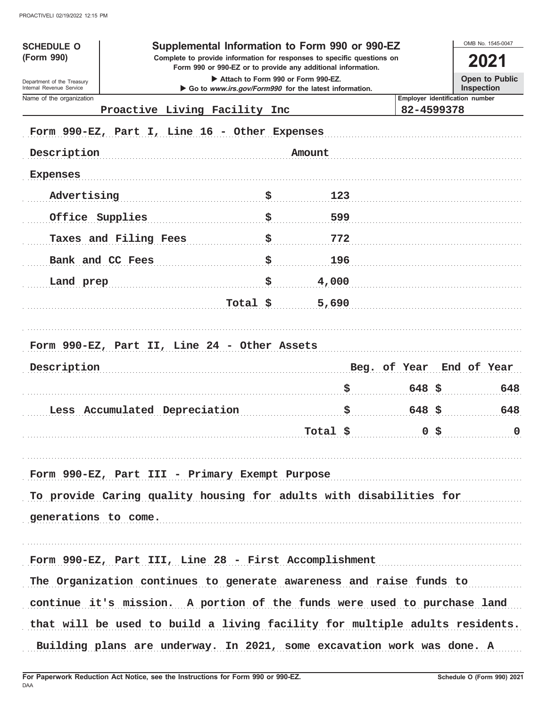| <b>SCHEDULE O</b><br>(Form 990)<br>Department of the Treasury<br>Internal Revenue Service | Supplemental Information to Form 990 or 990-EZ<br>Complete to provide information for responses to specific questions on<br>Form 990 or 990-EZ or to provide any additional information.<br>Attach to Form 990 or Form 990-EZ.<br>Go to www.irs.gov/Form990 for the latest information. |                | OMB No. 1545-0047<br>2021<br><b>Open to Public</b><br>Inspection |                    |
|-------------------------------------------------------------------------------------------|-----------------------------------------------------------------------------------------------------------------------------------------------------------------------------------------------------------------------------------------------------------------------------------------|----------------|------------------------------------------------------------------|--------------------|
| Name of the organization                                                                  | Proactive Living Facility Inc                                                                                                                                                                                                                                                           |                | Employer identification number<br>82-4599378                     |                    |
|                                                                                           | Form 990-EZ, Part I, Line 16 - Other Expenses                                                                                                                                                                                                                                           |                |                                                                  |                    |
| Description                                                                               |                                                                                                                                                                                                                                                                                         | Amount         |                                                                  |                    |
| <b>Expenses</b>                                                                           |                                                                                                                                                                                                                                                                                         |                |                                                                  |                    |
| Advertising                                                                               |                                                                                                                                                                                                                                                                                         | \$<br>123      |                                                                  |                    |
|                                                                                           | Office Supplies                                                                                                                                                                                                                                                                         | \$<br>599      |                                                                  |                    |
|                                                                                           | Taxes and Filing Fees                                                                                                                                                                                                                                                                   | \$<br>772      |                                                                  |                    |
|                                                                                           | Bank and CC Fees                                                                                                                                                                                                                                                                        | \$<br>196      |                                                                  |                    |
| Land prep                                                                                 |                                                                                                                                                                                                                                                                                         | \$<br>4,000    |                                                                  |                    |
|                                                                                           | Total \$                                                                                                                                                                                                                                                                                | 5,690          |                                                                  |                    |
| Description                                                                               |                                                                                                                                                                                                                                                                                         | \$             | Beg. of Year<br>$648$ \$                                         | End of Year<br>648 |
|                                                                                           | Less Accumulated Depreciation                                                                                                                                                                                                                                                           | \$<br>Total \$ | $648$ \$<br>-\$<br>0                                             | 648<br>0           |
| generations to come.                                                                      | Form 990-EZ, Part III - Primary Exempt Purpose<br>To provide Caring quality housing for adults with disabilities for                                                                                                                                                                    |                |                                                                  |                    |
|                                                                                           | Form 990-EZ, Part III, Line 28 - First Accomplishment<br>The Organization continues to generate awareness and raise funds to<br>continue it's mission. A portion of the funds were used to purchase land                                                                                |                |                                                                  |                    |
|                                                                                           | that will be used to build a living facility for multiple adults residents.<br>Building plans are underway. In 2021, some excavation work was done. A                                                                                                                                   |                |                                                                  |                    |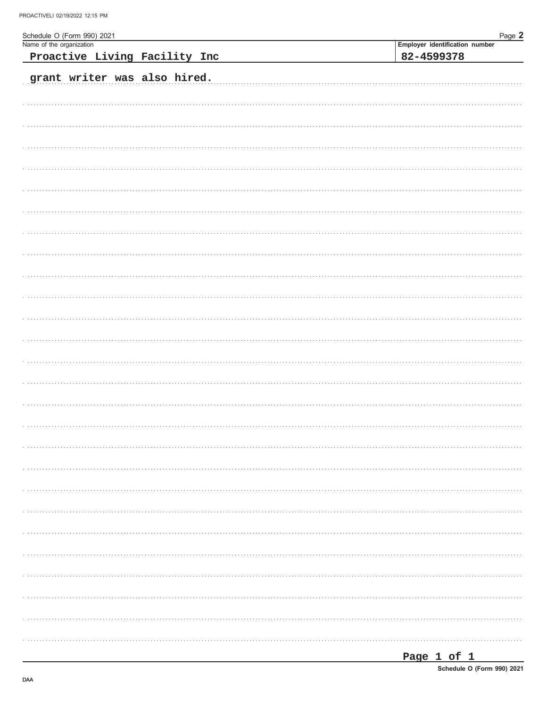| Schedule O (Form 990) 2021<br>Name of the organization | Page 2                         |
|--------------------------------------------------------|--------------------------------|
|                                                        | Employer identification number |
| Proactive Living Facility Inc                          | 82-4599378                     |
| grant writer was also hired.                           |                                |
|                                                        |                                |
|                                                        |                                |
|                                                        |                                |
|                                                        |                                |
|                                                        |                                |
|                                                        |                                |
|                                                        |                                |
|                                                        |                                |
|                                                        |                                |
|                                                        |                                |
|                                                        |                                |
|                                                        |                                |
|                                                        |                                |
|                                                        |                                |
|                                                        |                                |
|                                                        |                                |
|                                                        |                                |
|                                                        |                                |
|                                                        |                                |
|                                                        |                                |
|                                                        |                                |
|                                                        |                                |
|                                                        |                                |
|                                                        |                                |
|                                                        |                                |
|                                                        |                                |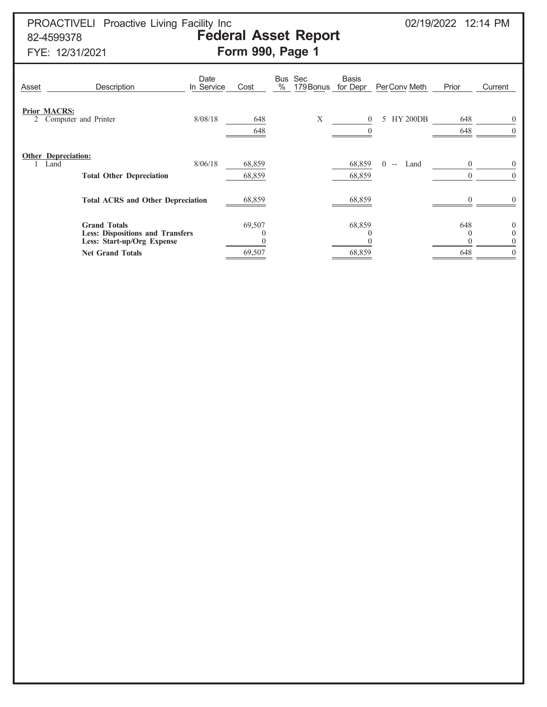PROACTIVELI Proactive Living Facility Inc  $02/19/2022$  12:14 PM 82-4599378 **Federal Asset Report**

# FYE: 12/31/2021 **Form 990, Page 1**

| Asset | <b>Description</b>                                                                           | Date<br>In Service | Cost             | Bus Sec<br>179 Bonus<br>$\%$ | Basis<br>for Depr | Per Conv Meth                                | Prior                   | Current                          |
|-------|----------------------------------------------------------------------------------------------|--------------------|------------------|------------------------------|-------------------|----------------------------------------------|-------------------------|----------------------------------|
|       | <b>Prior MACRS:</b><br>Computer and Printer                                                  | 8/08/18            | 648<br>648       | X                            | $\theta$          | <b>HY 200DB</b><br>5                         | 648<br>648              | $\theta$                         |
|       | <b>Other Depreciation:</b><br>Land<br><b>Total Other Depreciation</b>                        | 8/06/18            | 68,859<br>68,859 |                              | 68,859<br>68,859  | $\theta$<br>Land<br>$\overline{\phantom{a}}$ | $\Omega$<br>$\theta$    | $\theta$<br>$\Omega$             |
|       | <b>Total ACRS and Other Depreciation</b>                                                     |                    | 68,859           |                              | 68,859            |                                              |                         |                                  |
|       | <b>Grand Totals</b><br><b>Less: Dispositions and Transfers</b><br>Less: Start-up/Org Expense |                    | 69,507           |                              | 68,859            |                                              | 648<br>$\left( \right)$ | $\theta$<br>$\theta$<br>$\Omega$ |
|       | <b>Net Grand Totals</b>                                                                      |                    | 69,507           |                              | 68,859            |                                              | 648                     | $\theta$                         |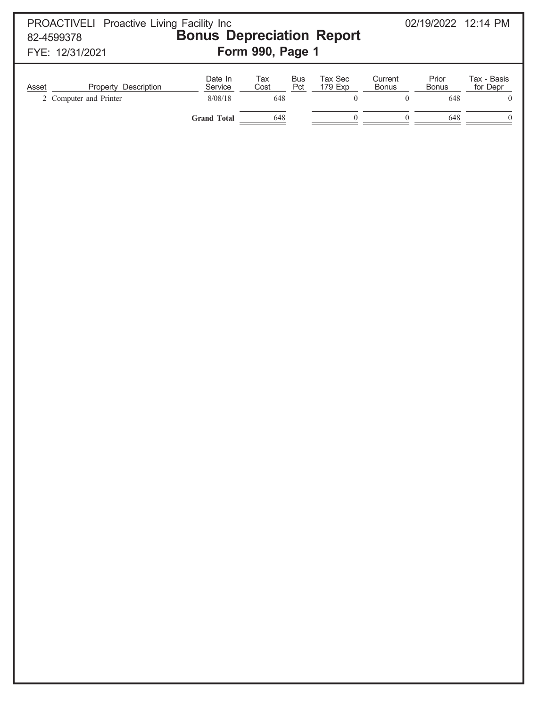| PROACTIVELI Proactive Living Facility Inc<br>82-4599378<br>FYE: 12/31/2021 | <b>Bonus Depreciation Report</b> | <b>Form 990, Page 1</b> |            |                                        |                                      |                              | 02/19/2022 12:14 PM                         |
|----------------------------------------------------------------------------|----------------------------------|-------------------------|------------|----------------------------------------|--------------------------------------|------------------------------|---------------------------------------------|
| Property Description<br>Asset<br>2 Computer and Printer                    | Date In<br>Service<br>8/08/18    | Tax<br>Cost<br>648      | Bus<br>Pct | Tax Sec<br>179 Exp<br>$\boldsymbol{0}$ | Current<br>Bonus<br>$\boldsymbol{0}$ | Prior<br><b>Bonus</b><br>648 | Tax - Basis<br>for Depr<br>$\boldsymbol{0}$ |
|                                                                            | <b>Grand Total</b>               | 648                     |            | $\frac{0}{\sqrt{2}}$                   | $\boldsymbol{0}$                     | 648                          | $\boldsymbol{0}$                            |
|                                                                            |                                  |                         |            |                                        |                                      |                              |                                             |
|                                                                            |                                  |                         |            |                                        |                                      |                              |                                             |
|                                                                            |                                  |                         |            |                                        |                                      |                              |                                             |
|                                                                            |                                  |                         |            |                                        |                                      |                              |                                             |
|                                                                            |                                  |                         |            |                                        |                                      |                              |                                             |
|                                                                            |                                  |                         |            |                                        |                                      |                              |                                             |
|                                                                            |                                  |                         |            |                                        |                                      |                              |                                             |
|                                                                            |                                  |                         |            |                                        |                                      |                              |                                             |
|                                                                            |                                  |                         |            |                                        |                                      |                              |                                             |
|                                                                            |                                  |                         |            |                                        |                                      |                              |                                             |
|                                                                            |                                  |                         |            |                                        |                                      |                              |                                             |
|                                                                            |                                  |                         |            |                                        |                                      |                              |                                             |
|                                                                            |                                  |                         |            |                                        |                                      |                              |                                             |
|                                                                            |                                  |                         |            |                                        |                                      |                              |                                             |
|                                                                            |                                  |                         |            |                                        |                                      |                              |                                             |
|                                                                            |                                  |                         |            |                                        |                                      |                              |                                             |
|                                                                            |                                  |                         |            |                                        |                                      |                              |                                             |
|                                                                            |                                  |                         |            |                                        |                                      |                              |                                             |
|                                                                            |                                  |                         |            |                                        |                                      |                              |                                             |
|                                                                            |                                  |                         |            |                                        |                                      |                              |                                             |
|                                                                            |                                  |                         |            |                                        |                                      |                              |                                             |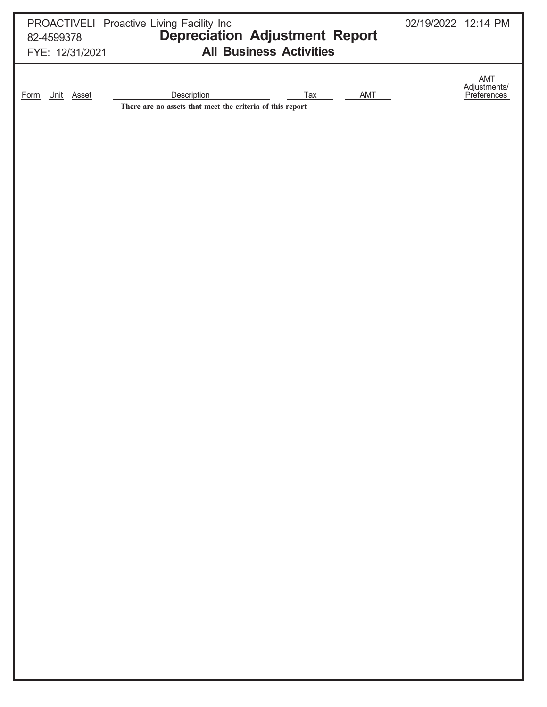| 82-4599378<br>FYE: 12/31/2021 | PROACTIVELI Proactive Living Facility Inc<br>Depreciation Adjustment Report<br><b>All Business Activities</b> | 02/19/2022 12:14 PM |                                    |
|-------------------------------|---------------------------------------------------------------------------------------------------------------|---------------------|------------------------------------|
| Unit Asset<br><b>Form</b>     | Description<br>Tax<br>AMT<br>There are no assets that meet the criteria of this report                        |                     | AMT<br>Adjustments/<br>Preferences |
|                               |                                                                                                               |                     |                                    |
|                               |                                                                                                               |                     |                                    |
|                               |                                                                                                               |                     |                                    |
|                               |                                                                                                               |                     |                                    |
|                               |                                                                                                               |                     |                                    |
|                               |                                                                                                               |                     |                                    |
|                               |                                                                                                               |                     |                                    |
|                               |                                                                                                               |                     |                                    |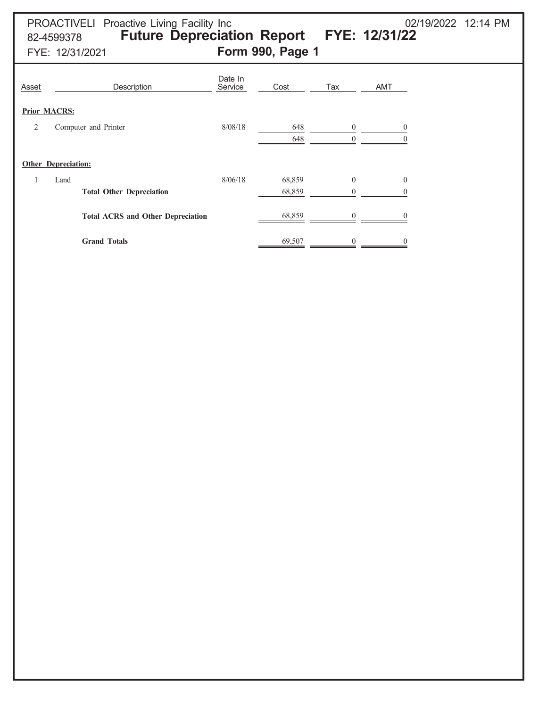|                 | <b>PROACTIVELI</b> Proactive Living Facility Inc | 02/19/2022 12:14 PM |  |
|-----------------|--------------------------------------------------|---------------------|--|
| 82-4599378      | <b>Future Depreciation Report FYE: 12/31/22</b>  |                     |  |
| FYE: 12/31/2021 | Form 990, Page 1                                 |                     |  |

| Asset |                            | Description                              | Date In<br>Service | Cost             | Tax                      | <b>AMT</b> |
|-------|----------------------------|------------------------------------------|--------------------|------------------|--------------------------|------------|
|       | <b>Prior MACRS:</b>        |                                          |                    |                  |                          |            |
| 2     |                            | Computer and Printer                     | 8/08/18            | 648<br>648       | $\mathbf{0}$             | $\theta$   |
|       | <b>Other Depreciation:</b> |                                          |                    |                  |                          |            |
| -1    | Land                       | <b>Total Other Depreciation</b>          | 8/06/18            | 68,859<br>68,859 | $\mathbf{0}$<br>$\theta$ |            |
|       |                            | <b>Total ACRS and Other Depreciation</b> |                    | 68,859           | $\Omega$                 |            |
|       |                            | <b>Grand Totals</b>                      |                    | 69,507           | $\theta$                 |            |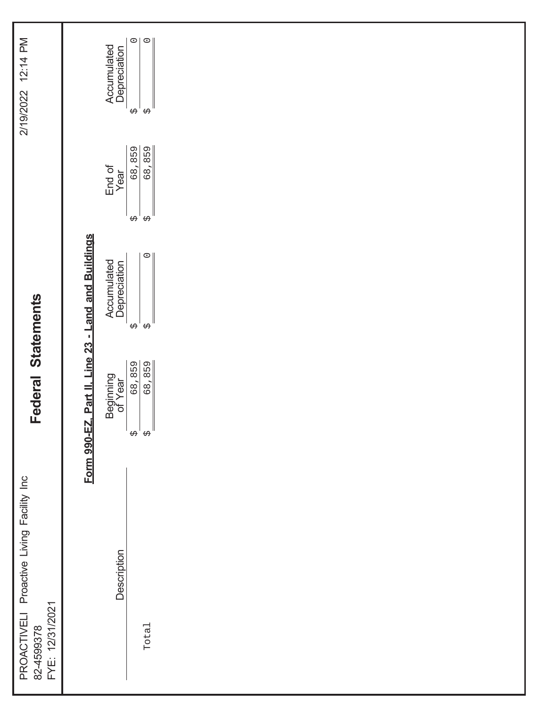| 2/19/2022 12:14 PM                                                         |                                                    | Accumulated<br>Depreciation | $\circ$<br>$\circ$<br>$\Omega$<br>$\Omega$<br>68,859<br>859 |  |  |  |  |  |
|----------------------------------------------------------------------------|----------------------------------------------------|-----------------------------|-------------------------------------------------------------|--|--|--|--|--|
|                                                                            |                                                    | End of<br>Year              | 68,<br>$\Omega$<br>$\Omega$<br>$\circ$                      |  |  |  |  |  |
|                                                                            |                                                    | Accumulated<br>Depreciation | ' ဟ−<br>₩.                                                  |  |  |  |  |  |
| Federal Statements                                                         | Form 990-EZ, Part II, Line 23 - Land and Buildings | Beginning<br>of Year        | 68,859<br>68,859<br>$\frac{1}{\alpha}$ $\frac{1}{\alpha}$   |  |  |  |  |  |
| PROACTIVELI Proactive Living Facility Inc<br>82-4599378<br>FYE: 12/31/2021 |                                                    | Description                 | Total                                                       |  |  |  |  |  |